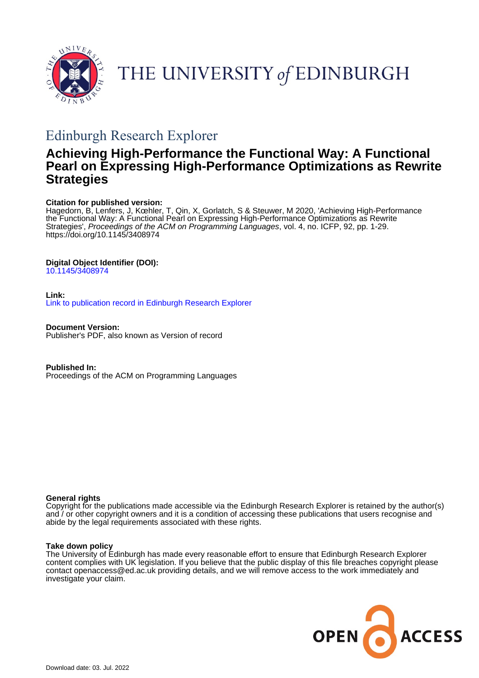

THE UNIVERSITY of EDINBURGH

# Edinburgh Research Explorer

# **Achieving High-Performance the Functional Way: A Functional Pearl on Expressing High-Performance Optimizations as Rewrite Strategies**

# **Citation for published version:**

Hagedorn, B, Lenfers, J, Kœhler, T, Qin, X, Gorlatch, S & Steuwer, M 2020, 'Achieving High-Performance the Functional Way: A Functional Pearl on Expressing High-Performance Optimizations as Rewrite Strategies', Proceedings of the ACM on Programming Languages, vol. 4, no. ICFP, 92, pp. 1-29. <https://doi.org/10.1145/3408974>

# **Digital Object Identifier (DOI):**

[10.1145/3408974](https://doi.org/10.1145/3408974)

# **Link:**

[Link to publication record in Edinburgh Research Explorer](https://www.research.ed.ac.uk/en/publications/a806ff64-a42f-4783-8e84-c84d1e6955c0)

**Document Version:** Publisher's PDF, also known as Version of record

**Published In:** Proceedings of the ACM on Programming Languages

# **General rights**

Copyright for the publications made accessible via the Edinburgh Research Explorer is retained by the author(s) and / or other copyright owners and it is a condition of accessing these publications that users recognise and abide by the legal requirements associated with these rights.

# **Take down policy**

The University of Edinburgh has made every reasonable effort to ensure that Edinburgh Research Explorer content complies with UK legislation. If you believe that the public display of this file breaches copyright please contact openaccess@ed.ac.uk providing details, and we will remove access to the work immediately and investigate your claim.

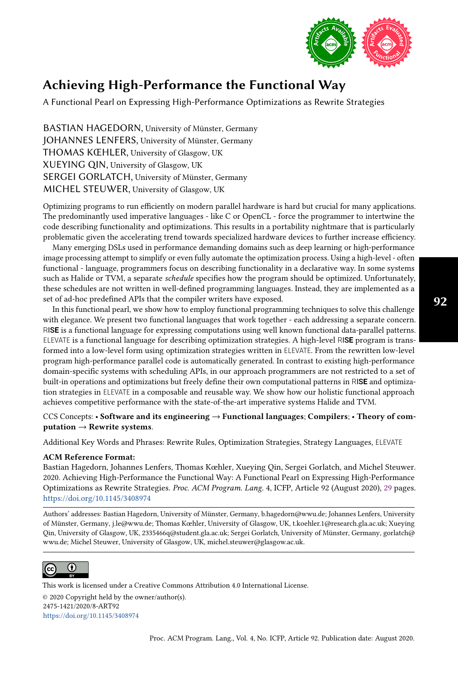

A Functional Pearl on Expressing High-Performance Optimizations as Rewrite Strategies

BASTIAN HAGEDORN, University of Münster, Germany JOHANNES LENFERS, University of Münster, Germany THOMAS KŒHLER, University of Glasgow, UK XUEYING QIN, University of Glasgow, UK SERGEI GORLATCH, University of Münster, Germany MICHEL STEUWER, University of Glasgow, UK

Optimizing programs to run efficiently on modern parallel hardware is hard but crucial for many applications. The predominantly used imperative languages - like C or OpenCL - force the programmer to intertwine the code describing functionality and optimizations. This results in a portability nightmare that is particularly problematic given the accelerating trend towards specialized hardware devices to further increase efficiency.

Many emerging DSLs used in performance demanding domains such as deep learning or high-performance image processing attempt to simplify or even fully automate the optimization process. Using a high-level - often functional - language, programmers focus on describing functionality in a declarative way. In some systems such as Halide or TVM, a separate schedule specifies how the program should be optimized. Unfortunately, these schedules are not written in well-defined programming languages. Instead, they are implemented as a set of ad-hoc predefined APIs that the compiler writers have exposed.

In this functional pearl, we show how to employ functional programming techniques to solve this challenge with elegance. We present two functional languages that work together - each addressing a separate concern. RIS**E** is a functional language for expressing computations using well known functional data-parallel patterns. ELEVATE is a functional language for describing optimization strategies. A high-level RIS**E** program is transformed into a low-level form using optimization strategies written in ELEVATE. From the rewritten low-level program high-performance parallel code is automatically generated. In contrast to existing high-performance domain-specific systems with scheduling APIs, in our approach programmers are not restricted to a set of built-in operations and optimizations but freely define their own computational patterns in RIS**E** and optimization strategies in ELEVATE in a composable and reusable way. We show how our holistic functional approach achieves competitive performance with the state-of-the-art imperative systems Halide and TVM.

# CCS Concepts: • Software and its engineering → Functional languages; Compilers; • Theory of com $putation \rightarrow Rewrite$  systems.

Additional Key Words and Phrases: Rewrite Rules, Optimization Strategies, Strategy Languages, ELEVATE

# ACM Reference Format:

Bastian Hagedorn, Johannes Lenfers, Thomas Kœhler, Xueying Qin, Sergei Gorlatch, and Michel Steuwer. 2020. Achieving High-Performance the Functional Way: A Functional Pearl on Expressing High-Performance Optimizations as Rewrite Strategies. Proc. ACM Program. Lang. 4, ICFP, Article 92 (August 2020), [29](#page-29-0) pages. <https://doi.org/10.1145/3408974>

Authors' addresses: Bastian Hagedorn, University of Münster, Germany, b.hagedorn@wwu.de; Johannes Lenfers, University of Münster, Germany, j.le@wwu.de; Thomas Kœhler, University of Glasgow, UK, t.koehler.1@research.gla.ac.uk; Xueying Qin, University of Glasgow, UK, 2335466q@student.gla.ac.uk; Sergei Gorlatch, University of Münster, Germany, gorlatch@ wwu.de; Michel Steuwer, University of Glasgow, UK, michel.steuwer@glasgow.ac.uk.



This work is licensed under a Creative Commons Attribution 4.0 International License.

© 2020 Copyright held by the owner/author(s). 2475-1421/2020/8-ART92 <https://doi.org/10.1145/3408974>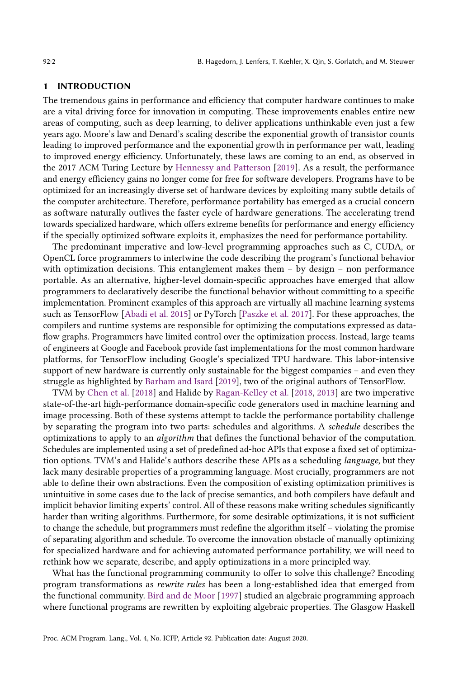#### 1 INTRODUCTION

The tremendous gains in performance and efficiency that computer hardware continues to make are a vital driving force for innovation in computing. These improvements enables entire new areas of computing, such as deep learning, to deliver applications unthinkable even just a few years ago. Moore's law and Denard's scaling describe the exponential growth of transistor counts leading to improved performance and the exponential growth in performance per watt, leading to improved energy efficiency. Unfortunately, these laws are coming to an end, as observed in the 2017 ACM Turing Lecture by [Hennessy and Patterson](#page-28-0) [\[2019\]](#page-28-0). As a result, the performance and energy efficiency gains no longer come for free for software developers. Programs have to be optimized for an increasingly diverse set of hardware devices by exploiting many subtle details of the computer architecture. Therefore, performance portability has emerged as a crucial concern as software naturally outlives the faster cycle of hardware generations. The accelerating trend towards specialized hardware, which offers extreme benefits for performance and energy efficiency if the specially optimized software exploits it, emphasizes the need for performance portability.

The predominant imperative and low-level programming approaches such as C, CUDA, or OpenCL force programmers to intertwine the code describing the program's functional behavior with optimization decisions. This entanglement makes them  $-$  by design  $-$  non performance portable. As an alternative, higher-level domain-specific approaches have emerged that allow programmers to declaratively describe the functional behavior without committing to a specific implementation. Prominent examples of this approach are virtually all machine learning systems such as TensorFlow [\[Abadi et al.](#page-27-0) [2015\]](#page-27-0) or PyTorch [\[Paszke et al.](#page-28-1) [2017\]](#page-28-1). For these approaches, the compilers and runtime systems are responsible for optimizing the computations expressed as dataflow graphs. Programmers have limited control over the optimization process. Instead, large teams of engineers at Google and Facebook provide fast implementations for the most common hardware platforms, for TensorFlow including Google's specialized TPU hardware. This labor-intensive support of new hardware is currently only sustainable for the biggest companies – and even they struggle as highlighted by [Barham and Isard](#page-27-1) [\[2019\]](#page-27-1), two of the original authors of TensorFlow.

TVM by [Chen et al.](#page-27-2) [\[2018\]](#page-27-2) and Halide by [Ragan-Kelley et al.](#page-28-2) [\[2018,](#page-28-2) [2013\]](#page-28-3) are two imperative state-of-the-art high-performance domain-specific code generators used in machine learning and image processing. Both of these systems attempt to tackle the performance portability challenge by separating the program into two parts: schedules and algorithms. A schedule describes the optimizations to apply to an algorithm that defines the functional behavior of the computation. Schedules are implemented using a set of predefined ad-hoc APIs that expose a fixed set of optimization options. TVM's and Halide's authors describe these APIs as a scheduling language, but they lack many desirable properties of a programming language. Most crucially, programmers are not able to define their own abstractions. Even the composition of existing optimization primitives is unintuitive in some cases due to the lack of precise semantics, and both compilers have default and implicit behavior limiting experts' control. All of these reasons make writing schedules significantly harder than writing algorithms. Furthermore, for some desirable optimizations, it is not sufficient to change the schedule, but programmers must redefine the algorithm itself  $-$  violating the promise of separating algorithm and schedule. To overcome the innovation obstacle of manually optimizing for specialized hardware and for achieving automated performance portability, we will need to rethink how we separate, describe, and apply optimizations in a more principled way.

What has the functional programming community to offer to solve this challenge? Encoding program transformations as rewrite rules has been a long-established idea that emerged from the functional community. [Bird and de Moor](#page-27-3) [\[1997\]](#page-27-3) studied an algebraic programming approach where functional programs are rewritten by exploiting algebraic properties. The Glasgow Haskell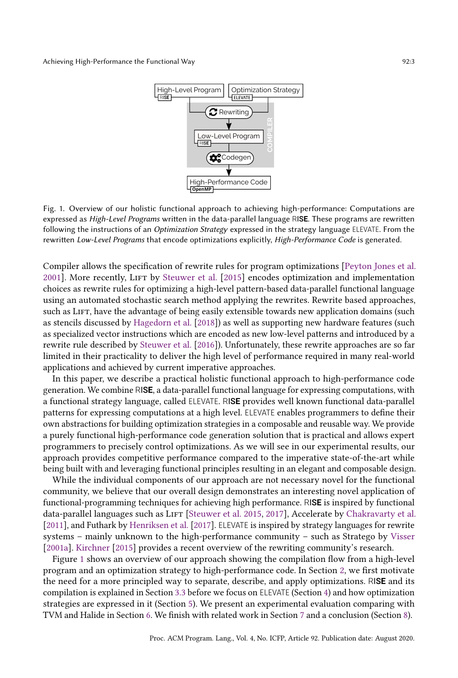<span id="page-3-0"></span>

Fig. 1. Overview of our holistic functional approach to achieving high-performance: Computations are expressed as High-Level Programs written in the data-parallel language RIS**E**. These programs are rewritten following the instructions of an Optimization Strategy expressed in the strategy language ELEVATE. From the rewritten Low-Level Programs that encode optimizations explicitly, High-Performance Code is generated.

Compiler allows the specification of rewrite rules for program optimizations [\[Peyton Jones et al.](#page-28-4) [2001\]](#page-28-4). More recently, LIFT by [Steuwer et al.](#page-28-5) [\[2015\]](#page-28-5) encodes optimization and implementation choices as rewrite rules for optimizing a high-level pattern-based data-parallel functional language using an automated stochastic search method applying the rewrites. Rewrite based approaches, such as LIFT, have the advantage of being easily extensible towards new application domains (such as stencils discussed by [Hagedorn et al.](#page-28-6) [\[2018\]](#page-28-6)) as well as supporting new hardware features (such as specialized vector instructions which are encoded as new low-level patterns and introduced by a rewrite rule described by [Steuwer et al.](#page-28-7) [\[2016\]](#page-28-7)). Unfortunately, these rewrite approaches are so far limited in their practicality to deliver the high level of performance required in many real-world applications and achieved by current imperative approaches.

In this paper, we describe a practical holistic functional approach to high-performance code generation. We combine RIS**E**, a data-parallel functional language for expressing computations, with a functional strategy language, called ELEVATE. RIS**E** provides well known functional data-parallel patterns for expressing computations at a high level. ELEVATE enables programmers to define their own abstractions for building optimization strategies in a composable and reusable way. We provide a purely functional high-performance code generation solution that is practical and allows expert programmers to precisely control optimizations. As we will see in our experimental results, our approach provides competitive performance compared to the imperative state-of-the-art while being built with and leveraging functional principles resulting in an elegant and composable design.

While the individual components of our approach are not necessary novel for the functional community, we believe that our overall design demonstrates an interesting novel application of functional-programming techniques for achieving high performance. RIS**E** is inspired by functional data-parallel languages such as LIFT [\[Steuwer et al.](#page-28-5) [2015,](#page-28-5) [2017\]](#page-28-8), Accelerate by [Chakravarty et al.](#page-27-4) [\[2011\]](#page-27-4), and Futhark by [Henriksen et al.](#page-28-9) [\[2017\]](#page-28-9). ELEVATE is inspired by strategy languages for rewrite systems – mainly unknown to the high-performance community – such as Stratego by [Visser](#page-29-1) [\[2001a\]](#page-29-1). [Kirchner](#page-28-10) [\[2015\]](#page-28-10) provides a recent overview of the rewriting community's research.

Figure [1](#page-3-0) shows an overview of our approach showing the compilation flow from a high-level program and an optimization strategy to high-performance code. In Section [2,](#page-4-0) we first motivate the need for a more principled way to separate, describe, and apply optimizations. RIS**E** and its compilation is explained in Section [3.3](#page-8-0) before we focus on ELEVATE (Section [4\)](#page-8-1) and how optimization strategies are expressed in it (Section [5\)](#page-15-0). We present an experimental evaluation comparing with TVM and Halide in Section [6.](#page-20-0) We finish with related work in Section [7](#page-25-0) and a conclusion (Section [8\)](#page-26-0).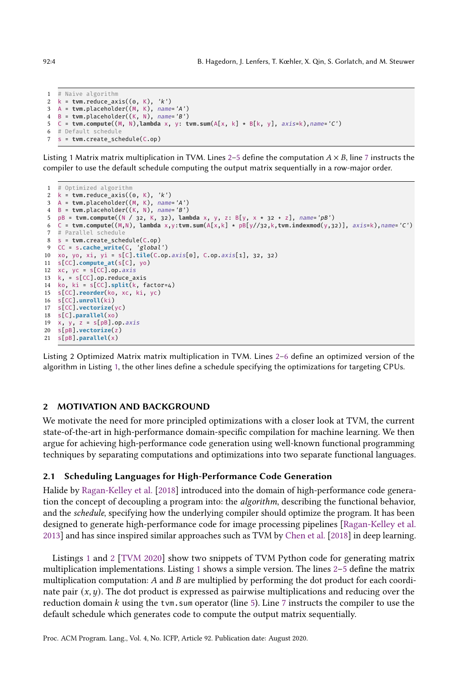```
1 # Naive algorithm
2 k = tvm.reduce_axis((0, K), 'k')
3 A = tvm.placeholder((M, K), name='A')
4 B = tvm.placeholder((K, N), name='B')
5 C = tvm.compute((M, N),lambda x, y: tvm.sum(A[x, k] * B[k, y], axis=k),name='C')
6 # Default schedule
7 s = tvm.create_schedule(C.op)
```
<span id="page-4-3"></span>Listing 1 Matrix matrix multiplication in TVM. Lines 2–[5](#page-4-2) define the computation  $A \times B$ , line [7](#page-4-3) instructs the compiler to use the default schedule computing the output matrix sequentially in a row-major order.

```
1 # Optimized algorithm
2 k = tvm.reduce_axis((0, K), 'k')
3 A = tvm.placeholder((M, K), name='A')
4 B = tvm.placeholder((K, N), name='B')
 5 pB = tvm.compute((N / 32, K, 32), lambda x, y, z: B[y, x * 32 + z], name='pB')<br>6 C = tvm.compute((M,N), lambda x,y:tvm.sum(A[x,k] * pB[y//32,k,tvm.indexmod(y,32)], axis=k),name='C')
7 # Parallel schedule
8 s = tvm.create_schedule(C.op)
9 CC = s.cache_write(C, 'global')
10 xo, yo, xi, yi = s[C].tile(C.op.axis[0], C.op.axis[1], 32, 32)
11 s[CC].compute_at(s[C], yo)
12 xc, yc = s[CC].op. axis13 k, = s[CC].op.reduce_axis
14 ko, ki = s[CC].split(k, factor=4)
15 s[CC].reorder(ko, xc, ki, yc)
16 s[CC].unroll(ki)
17 s[CC].vectorize(yc)
18 s[C].parallel(xo)
19 x, y, z = s[pB].op. axis20 s[pB].vectorize(z)
21 s[pB].parallel(x)
```
<span id="page-4-12"></span><span id="page-4-11"></span><span id="page-4-9"></span>Listing 2 Optimized Matrix matrix multiplication in TVM. Lines 2–[6](#page-4-5) define an optimized version of the algorithm in Listing [1,](#page-4-6) the other lines define a schedule specifying the optimizations for targeting CPUs.

# <span id="page-4-0"></span>2 MOTIVATION AND BACKGROUND

We motivate the need for more principled optimizations with a closer look at TVM, the current state-of-the-art in high-performance domain-specific compilation for machine learning. We then argue for achieving high-performance code generation using well-known functional programming techniques by separating computations and optimizations into two separate functional languages.

# 2.1 Scheduling Languages for High-Performance Code Generation

Halide by [Ragan-Kelley et al.](#page-28-2) [\[2018\]](#page-28-2) introduced into the domain of high-performance code generation the concept of decoupling a program into: the algorithm, describing the functional behavior, and the schedule, specifying how the underlying compiler should optimize the program. It has been designed to generate high-performance code for image processing pipelines [\[Ragan-Kelley et al.](#page-28-3) [2013\]](#page-28-3) and has since inspired similar approaches such as TVM by [Chen et al.](#page-27-2) [\[2018\]](#page-27-2) in deep learning.

Listings [1](#page-4-6) and [2](#page-4-7) [\[TVM 2020\]](#page-28-11) show two snippets of TVM Python code for generating matrix multiplication implementations. Listing [1](#page-4-6) shows a simple version. The lines  $2-5$  $2-5$  define the matrix multiplication computation:  $A$  and  $B$  are multiplied by performing the dot product for each coordinate pair  $(x, y)$ . The dot product is expressed as pairwise multiplications and reducing over the reduction domain  $k$  using the tvm.sum operator (line [5\)](#page-4-2). Line [7](#page-4-3) instructs the compiler to use the default schedule which generates code to compute the output matrix sequentially.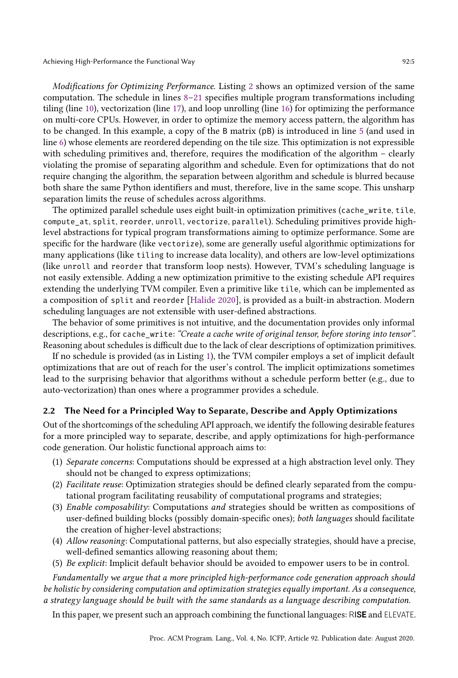Modifications for Optimizing Performance. Listing [2](#page-4-7) shows an optimized version of the same computation. The schedule in lines  $8-21$  $8-21$  specifies multiple program transformations including tiling (line [10\)](#page-4-10), vectorization (line [17\)](#page-4-11), and loop unrolling (line [16\)](#page-4-12) for optimizing the performance on multi-core CPUs. However, in order to optimize the memory access pattern, the algorithm has to be changed. In this example, a copy of the B matrix (pB) is introduced in line [5](#page-4-13) (and used in line [6\)](#page-4-5) whose elements are reordered depending on the tile size. This optimization is not expressible with scheduling primitives and, therefore, requires the modification of the algorithm  $-$  clearly violating the promise of separating algorithm and schedule. Even for optimizations that do not require changing the algorithm, the separation between algorithm and schedule is blurred because both share the same Python identifiers and must, therefore, live in the same scope. This unsharp separation limits the reuse of schedules across algorithms.

The optimized parallel schedule uses eight built-in optimization primitives (cache\_write, tile, compute\_at, split, reorder, unroll, vectorize, parallel). Scheduling primitives provide highlevel abstractions for typical program transformations aiming to optimize performance. Some are specific for the hardware (like vectorize), some are generally useful algorithmic optimizations for many applications (like tiling to increase data locality), and others are low-level optimizations (like unroll and reorder that transform loop nests). However, TVM's scheduling language is not easily extensible. Adding a new optimization primitive to the existing schedule API requires extending the underlying TVM compiler. Even a primitive like tile, which can be implemented as a composition of split and reorder [\[Halide 2020\]](#page-28-12), is provided as a built-in abstraction. Modern scheduling languages are not extensible with user-defined abstractions.

The behavior of some primitives is not intuitive, and the documentation provides only informal descriptions, e.g., for cache write: "Create a cache write of original tensor, before storing into tensor". Reasoning about schedules is difficult due to the lack of clear descriptions of optimization primitives.

If no schedule is provided (as in Listing [1\)](#page-4-6), the TVM compiler employs a set of implicit default optimizations that are out of reach for the user's control. The implicit optimizations sometimes lead to the surprising behavior that algorithms without a schedule perform better (e.g., due to auto-vectorization) than ones where a programmer provides a schedule.

# 2.2 The Need for a Principled Way to Separate, Describe and Apply Optimizations

Out of the shortcomings of the scheduling API approach, we identify the following desirable features for a more principled way to separate, describe, and apply optimizations for high-performance code generation. Our holistic functional approach aims to:

- (1) Separate concerns: Computations should be expressed at a high abstraction level only. They should not be changed to express optimizations;
- (2) Facilitate reuse: Optimization strategies should be defined clearly separated from the computational program facilitating reusability of computational programs and strategies;
- (3) Enable composability: Computations and strategies should be written as compositions of user-defined building blocks (possibly domain-specific ones); both languages should facilitate the creation of higher-level abstractions;
- (4) Allow reasoning: Computational patterns, but also especially strategies, should have a precise, well-defined semantics allowing reasoning about them;
- (5) Be explicit: Implicit default behavior should be avoided to empower users to be in control.

Fundamentally we argue that a more principled high-performance code generation approach should be holistic by considering computation and optimization strategies equally important. As a consequence, a strategy language should be built with the same standards as a language describing computation.

In this paper, we present such an approach combining the functional languages: RIS**E** and ELEVATE.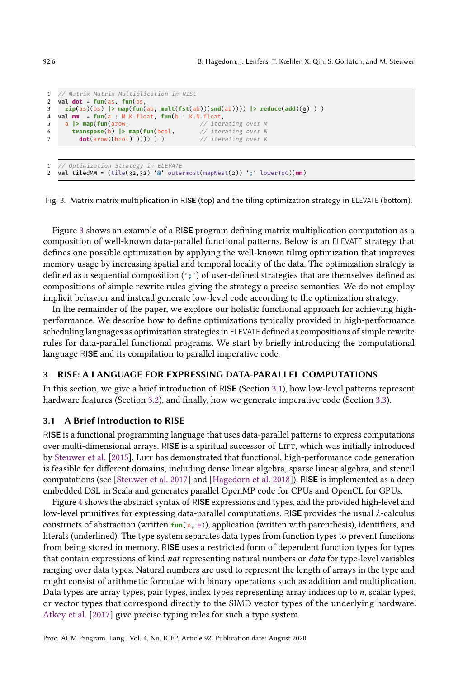```
1 // Matrix Matrix Multiplication in RISE
2 val dot = fun(as, fun(bs,
    3 zip(as)(bs) |> map(fun(ab, mult(fst(ab))(snd(ab)))) |> reduce(add)(0) ) )
4 val mm = fun(a : M.K.float, fun(b : K.N.float,
5 a |> map(fun(arow, // iterating over M
6 transpose(b) |> map(fun(bcol, // iterating over N
7 dot(arow)(bcol) )))) ) ) / iterating over K
1 // Optimization Strategy in ELEVATE
2 val tiledMM = (tile(32,32) '@' outermost(mapNest(2)) ';' lowerToC)(mm)
```
Fig. 3. Matrix matrix multiplication in RIS**E** (top) and the tiling optimization strategy in ELEVATE (bottom).

Figure [3](#page-6-0) shows an example of a RIS**E** program defining matrix multiplication computation as a composition of well-known data-parallel functional patterns. Below is an ELEVATE strategy that defines one possible optimization by applying the well-known tiling optimization that improves memory usage by increasing spatial and temporal locality of the data. The optimization strategy is defined as a sequential composition ('**;**') of user-defined strategies that are themselves defined as compositions of simple rewrite rules giving the strategy a precise semantics. We do not employ implicit behavior and instead generate low-level code according to the optimization strategy.

In the remainder of the paper, we explore our holistic functional approach for achieving highperformance. We describe how to define optimizations typically provided in high-performance scheduling languages as optimization strategies in ELEVATE defined as compositions of simple rewrite rules for data-parallel functional programs. We start by briefly introducing the computational language RIS**E** and its compilation to parallel imperative code.

#### 3 RISE: A LANGUAGE FOR EXPRESSING DATA-PARALLEL COMPUTATIONS

In this section, we give a brief introduction of RIS**E** (Section [3.1\)](#page-6-1), how low-level patterns represent hardware features (Section [3.2\)](#page-7-0), and finally, how we generate imperative code (Section [3.3\)](#page-8-0).

#### <span id="page-6-1"></span>3.1 A Brief Introduction to RISE

RIS**E** is a functional programming language that uses data-parallel patterns to express computations over multi-dimensional arrays. RISE is a spiritual successor of LIFT, which was initially introduced by [Steuwer et al.](#page-28-5) [\[2015\]](#page-28-5). LIFT has demonstrated that functional, high-performance code generation is feasible for different domains, including dense linear algebra, sparse linear algebra, and stencil computations (see [\[Steuwer et al.](#page-28-8) [2017\]](#page-28-8) and [\[Hagedorn et al.](#page-28-6) [2018\]](#page-28-6)). RIS**E** is implemented as a deep embedded DSL in Scala and generates parallel OpenMP code for CPUs and OpenCL for GPUs.

Figure [4](#page-7-1) shows the abstract syntax of RIS**E** expressions and types, and the provided high-level and low-level primitives for expressing data-parallel computations. RISE provides the usual  $\lambda$ -calculus constructs of abstraction (written **fun**(x, e)), application (written with parenthesis), identifiers, and literals (underlined). The type system separates data types from function types to prevent functions from being stored in memory. RIS**E** uses a restricted form of dependent function types for types that contain expressions of kind nat representing natural numbers or data for type-level variables ranging over data types. Natural numbers are used to represent the length of arrays in the type and might consist of arithmetic formulae with binary operations such as addition and multiplication. Data types are array types, pair types, index types representing array indices up to  $n$ , scalar types, or vector types that correspond directly to the SIMD vector types of the underlying hardware. [Atkey et al.](#page-27-5) [\[2017\]](#page-27-5) give precise typing rules for such a type system.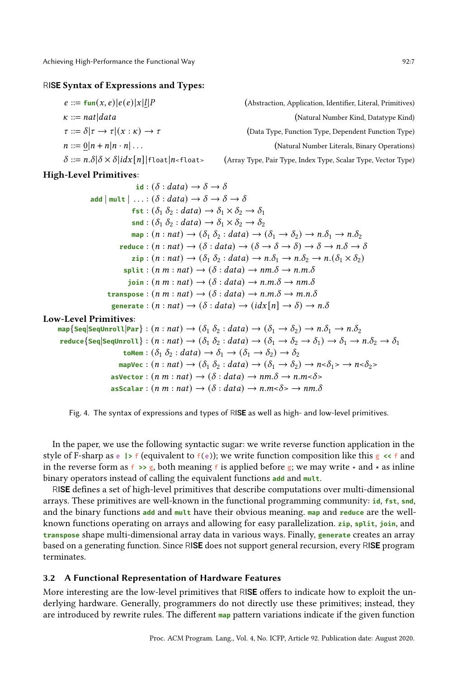#### <span id="page-7-1"></span>RIS**E** Syntax of Expressions and Types:

| $e ::= \text{fun}(x, e)   e(e)   x   l   P$                                                                    | (Abstraction, Application, Identifier, Literal, Primitives)   |
|----------------------------------------------------------------------------------------------------------------|---------------------------------------------------------------|
| $\kappa ::= nat data $                                                                                         | (Natural Number Kind, Datatype Kind)                          |
| $\tau ::= \delta   \tau \rightarrow \tau   (x : \kappa) \rightarrow \tau$                                      | (Data Type, Function Type, Dependent Function Type)           |
| $n ::= 0   n + n   n \cdot n   \dots$                                                                          | (Natural Number Literals, Binary Operations)                  |
| $\delta ::= n.\delta\ \delta \times \delta\  d\mathbf{x}[n]\ $ float $ n\mathbf{\cdot}$ float $\mathbf{\cdot}$ | (Array Type, Pair Type, Index Type, Scalar Type, Vector Type) |

# High-Level Primitives:

 $id : (\delta : data) \rightarrow \delta \rightarrow \delta$ **add**  $|\text{mult}| \dots : (\delta : data) \rightarrow \delta \rightarrow \delta \rightarrow \delta$ **fst** :  $(\delta_1 \delta_2 : data) \rightarrow \delta_1 \times \delta_2 \rightarrow \delta_1$ **snd** :  $(\delta_1 \delta_2 : data) \rightarrow \delta_1 \times \delta_2 \rightarrow \delta_2$  $map : (n : nat) \rightarrow (\delta_1 \delta_2 : data) \rightarrow (\delta_1 \rightarrow \delta_2) \rightarrow n.\delta_1 \rightarrow n.\delta_2$ **reduce** :  $(n : nat) \rightarrow (\delta : data) \rightarrow (\delta \rightarrow \delta \rightarrow \delta) \rightarrow \delta \rightarrow n.\delta \rightarrow \delta$  $\mathsf{zip} : (n : nat) \to (\delta_1 \delta_2 : data) \to n.\delta_1 \to n.\delta_2 \to n.(\delta_1 \times \delta_2)$  $\text{split}: (n \; m : n \; at) \rightarrow (\delta : data) \rightarrow nm \ldotp \delta \rightarrow n \ldotp m \ldotp \delta$  $\phi$ ioin :  $(n \, m : n \, at) \rightarrow (\delta : data) \rightarrow n \, m \, \delta \rightarrow n \, m \, \delta$ **transpose** :  $(n \, m : n \, a) \rightarrow (\delta : data) \rightarrow n \, m \, \delta \rightarrow m \, n \, \delta$ **generate** :  $(n : nat) \rightarrow (\delta : data) \rightarrow (idx[n] \rightarrow \delta) \rightarrow n.\delta$ Low-Level Primitives:  $\text{map}\{\textsf{Seq}|\textsf{Seq}$ Unroll $|\textsf{Par}\}: (n : nat) \to (\delta_1 \delta_2 : data) \to (\delta_1 \to \delta_2) \to n.\delta_1 \to n.\delta_2$  $\text{reduce}\{\text{Seq}|\text{Seq}$ Unroll $\} : (n : nat) \to (\delta_1 \ \delta_2 : data) \to (\delta_1 \to \delta_2 \to \delta_1) \to \delta_1 \to n.\delta_2 \to \delta_1$  $\mathsf{toMem} : (\delta_1 \delta_2 : data) \to \delta_1 \to (\delta_1 \to \delta_2) \to \delta_2$ mapVec :  $(n : nat) \rightarrow (\delta_1 \delta_2 : data) \rightarrow (\delta_1 \rightarrow \delta_2) \rightarrow n \le \delta_1 > n \le \delta_2 > n$ 

$$
a \text{sVector}: (n m: nat) \rightarrow (\delta: data) \rightarrow nm.\delta \rightarrow n.m<\delta>
$$
  

$$
a \text{sscalar}: (n m: nat) \rightarrow (\delta: data) \rightarrow n.m<\delta> \rightarrow nm.\delta
$$



In the paper, we use the following syntactic sugar: we write reverse function application in the style of F-sharp as  $\epsilon$  **|>** f (equivalent to  $f(\epsilon)$ ); we write function composition like this  $g \prec f$  and in the reverse form as  $f \rightarrow g$ , both meaning f is applied before g; we may write  $+$  and  $*$  as inline binary operators instead of calling the equivalent functions **add** and **mult**.

RIS**E** defines a set of high-level primitives that describe computations over multi-dimensional arrays. These primitives are well-known in the functional programming community: **id**, **fst**, **snd**, and the binary functions **add** and **mult** have their obvious meaning. **map** and **reduce** are the wellknown functions operating on arrays and allowing for easy parallelization. **zip**, **split**, **join**, and **transpose** shape multi-dimensional array data in various ways. Finally, **generate** creates an array based on a generating function. Since RIS**E** does not support general recursion, every RIS**E** program terminates.

# <span id="page-7-0"></span>3.2 A Functional Representation of Hardware Features

More interesting are the low-level primitives that RIS**E** offers to indicate how to exploit the underlying hardware. Generally, programmers do not directly use these primitives; instead, they are introduced by rewrite rules. The different **map** pattern variations indicate if the given function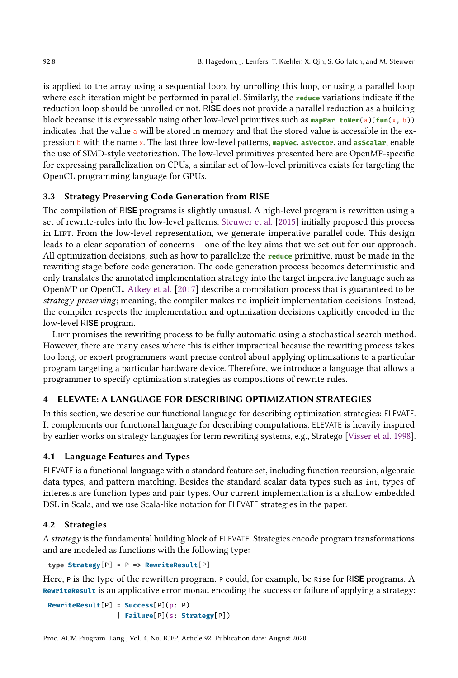is applied to the array using a sequential loop, by unrolling this loop, or using a parallel loop where each iteration might be performed in parallel. Similarly, the **reduce** variations indicate if the reduction loop should be unrolled or not. RIS**E** does not provide a parallel reduction as a building block because it is expressable using other low-level primitives such as **mapPar**. **toMem**(a)(**fun**(x, b)) indicates that the value a will be stored in memory and that the stored value is accessible in the expression b with the name x. The last three low-level patterns, **mapVec**, **asVector**, and **asScalar**, enable the use of SIMD-style vectorization. The low-level primitives presented here are OpenMP-specific for expressing parallelization on CPUs, a similar set of low-level primitives exists for targeting the OpenCL programming language for GPUs.

# <span id="page-8-0"></span>3.3 Strategy Preserving Code Generation from RISE

The compilation of RIS**E** programs is slightly unusual. A high-level program is rewritten using a set of rewrite-rules into the low-level patterns. [Steuwer et al.](#page-28-5) [\[2015\]](#page-28-5) initially proposed this process in LIFT. From the low-level representation, we generate imperative parallel code. This design leads to a clear separation of concerns – one of the key aims that we set out for our approach. All optimization decisions, such as how to parallelize the **reduce** primitive, must be made in the rewriting stage before code generation. The code generation process becomes deterministic and only translates the annotated implementation strategy into the target imperative language such as OpenMP or OpenCL. [Atkey et al.](#page-27-5) [\[2017\]](#page-27-5) describe a compilation process that is guaranteed to be strategy-preserving; meaning, the compiler makes no implicit implementation decisions. Instead, the compiler respects the implementation and optimization decisions explicitly encoded in the low-level RIS**E** program.

LIFT promises the rewriting process to be fully automatic using a stochastical search method. However, there are many cases where this is either impractical because the rewriting process takes too long, or expert programmers want precise control about applying optimizations to a particular program targeting a particular hardware device. Therefore, we introduce a language that allows a programmer to specify optimization strategies as compositions of rewrite rules.

# <span id="page-8-1"></span>4 ELEVATE: A LANGUAGE FOR DESCRIBING OPTIMIZATION STRATEGIES

In this section, we describe our functional language for describing optimization strategies: ELEVATE. It complements our functional language for describing computations. ELEVATE is heavily inspired by earlier works on strategy languages for term rewriting systems, e.g., Stratego [\[Visser et al.](#page-29-2) [1998\]](#page-29-2).

## 4.1 Language Features and Types

ELEVATE is a functional language with a standard feature set, including function recursion, algebraic data types, and pattern matching. Besides the standard scalar data types such as int, types of interests are function types and pair types. Our current implementation is a shallow embedded DSL in Scala, and we use Scala-like notation for ELEVATE strategies in the paper.

#### 4.2 Strategies

A strategy is the fundamental building block of ELEVATE. Strategies encode program transformations and are modeled as functions with the following type:

**type Strategy**[P] = P **=> RewriteResult**[P]

Here, <sup>P</sup> is the type of the rewritten program. <sup>P</sup> could, for example, be Rise for RIS**E** programs. A **RewriteResult** is an applicative error monad encoding the success or failure of applying a strategy:

```
RewriteResult[P] = Success[P](p: P)
                 | Failure[P](s: Strategy[P])
```
Proc. ACM Program. Lang., Vol. 4, No. ICFP, Article 92. Publication date: August 2020.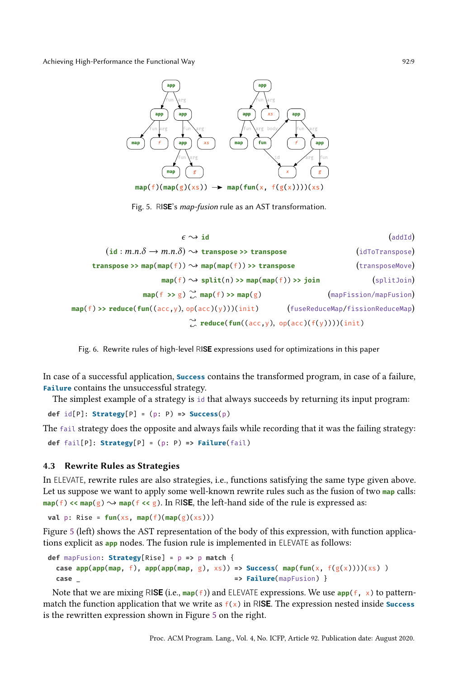<span id="page-9-0"></span>

Fig. 5. RIS**E**'s map-fusion rule as an AST transformation.

<span id="page-9-1"></span>

| (addId)                          |                                                                                       | $\epsilon \rightsquigarrow$ id                                                     |
|----------------------------------|---------------------------------------------------------------------------------------|------------------------------------------------------------------------------------|
| (idToTranspose)                  |                                                                                       | $(id : m.n.\delta \rightarrow m.n.\delta) \rightsquigarrow$ transpose >> transpose |
| (transposeMove)                  |                                                                                       | transpose >> map(map(f)) $\rightsquigarrow$ map(map(f)) >> transpose               |
| (splitJoin)                      | $map(f) \rightsquigarrow split(n) \rightsquigarrow map(map(f)) \rightsquigarrow join$ |                                                                                    |
| (mapFission/mapFusion)           | $map(f \gg g) \sim_{\infty}^{\infty} map(f) \gg map(g)$                               |                                                                                    |
| (fuseReduceMap/fissionReduceMap) |                                                                                       | $map(f) \gg reduce(fun((acc, y), op(acc)(y)))(init)$                               |
|                                  | $\sim$ reduce(fun((acc,y), op(acc)(f(y))))(init)                                      |                                                                                    |

Fig. 6. Rewrite rules of high-level RIS**E** expressions used for optimizations in this paper

In case of a successful application, **Success** contains the transformed program, in case of a failure, **Failure** contains the unsuccessful strategy.

The simplest example of a strategy is id that always succeeds by returning its input program:

**def** id[P]: **Strategy**[P] = (p: P) **=> Success**(p)

The fail strategy does the opposite and always fails while recording that it was the failing strategy: **def** fail[P]: **Strategy**[P] = (p: P) **=> Failure**(fail)

#### 4.3 Rewrite Rules as Strategies

In ELEVATE, rewrite rules are also strategies, i.e., functions satisfying the same type given above. Let us suppose we want to apply some well-known rewrite rules such as the fusion of two **map** calls:  $map(f) \ll map(g) \rightarrow map(f \ll g)$ . In RI**SE**, the left-hand side of the rule is expressed as:

**val** p: Rise =  $fun(xs, map(f)(map(g)(xs)))$ 

Figure [5](#page-9-0) (left) shows the AST representation of the body of this expression, with function applications explicit as **app** nodes. The fusion rule is implemented in ELEVATE as follows:

```
def mapFusion: Strategy[Rise] = p => p match {
  case \text{app}(\text{app}(\text{map}, f), \text{app}(\text{app}(\text{map}, g), \text{x}) => Success(\text{map}(\text{fun}(x, f(g(x))))(xs))
  case _ => Failure(mapFusion) }
```
Note that we are mixing RIS**E** (i.e., **map**(f)) and ELEVATE expressions. We use **app**(f, x) to patternmatch the function application that we write as  $f(x)$  in RI**SE**. The expression nested inside **Success** is the rewritten expression shown in Figure [5](#page-9-0) on the right.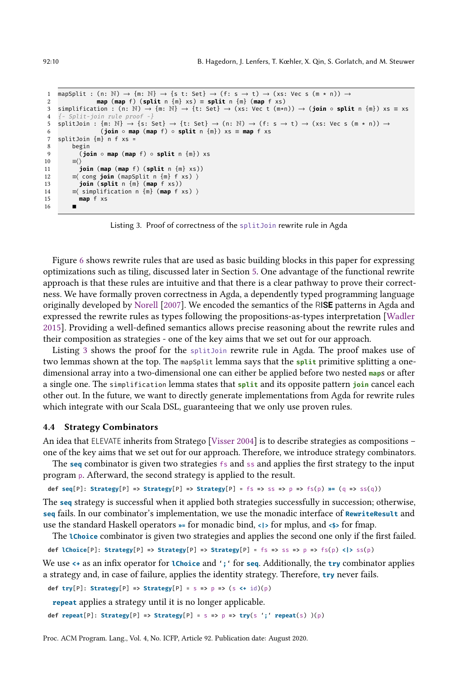```
1 mapSplit : (n: \mathbb{N}) \to \{m: \mathbb{N}\} \to \{s \text{ t}: \text{Set}\} \to (\text{ f}: \text{ s} \to \text{ t}) \to (\text{xs}: \text{ Vec } s \text{ (m * n)}) \to2 map (map f) (split n {m} xs) \equiv split n {m} (map f xs)<br>3 simplification : (n: N) \rightarrow {m: N} \rightarrow {t: Set} \rightarrow (xs: Vec t (m*r
    3 simplification : (n: N) → {m: N} → {t: Set} → (xs: Vec t (m*n)) → (join ◦ split n {m}) xs ≡ xs
 4 {- Split-join rule proof -}
 5 splitJoin : \{m: \mathbb{N}\} \to \{s: Set\} \to \{t: Set\} \to (n: \mathbb{N}) \to (f: s \to t) \to (xs: Vec s (m * n)) \to (m * n) \to (m * n) \to (m * n) \to (m * n) \to (m * n) \to (m * n) \to (m * n) \to (m * n) \to (m * n) \to (m * n) \to (m * n) \to (m * n) \to (m * n) \to (m * n) \to (m * n) \to (m * n) \to (m * n) \to (m * n) \to (m * n) \to (m * n) \to (m6 (join ◦ map (map f) ◦ split n {m}) xs ≡ map f xs
7 splitJoin {m} n f xs =
 8 begin<br>9 (io
                 9 (join ◦ map (map f) ◦ split n {m}) xs
10 \equiv \langle > \frac{1}{1} + \frac{1}{1} + \frac{1}{1}11 join (map (map f) (split n \{m\} xs))<br>12 \equiv (cong ioin (manSnlit n \{m\} f xs))
             12 ≡⟨ cong join (mapSplit n {m} f xs) ⟩
13 join (split n {m} (map f xs))
14 \equiv \langle simplification n \{m\} (map f xs) \rangle<br>15 map f xs
             15 map f xs
16 ■
```
Listing 3. Proof of correctness of the splitJoin rewrite rule in Agda

Figure [6](#page-9-1) shows rewrite rules that are used as basic building blocks in this paper for expressing optimizations such as tiling, discussed later in Section [5.](#page-15-0) One advantage of the functional rewrite approach is that these rules are intuitive and that there is a clear pathway to prove their correctness. We have formally proven correctness in Agda, a dependently typed programming language originally developed by [Norell](#page-28-13) [\[2007\]](#page-28-13). We encoded the semantics of the RIS**E** patterns in Agda and expressed the rewrite rules as types following the propositions-as-types interpretation [\[Wadler](#page-29-3) [2015\]](#page-29-3). Providing a well-defined semantics allows precise reasoning about the rewrite rules and their composition as strategies - one of the key aims that we set out for our approach.

Listing [3](#page-10-0) shows the proof for the splitJoin rewrite rule in Agda. The proof makes use of two lemmas shown at the top. The mapSplit lemma says that the **split** primitive splitting a onedimensional array into a two-dimensional one can either be applied before two nested **map**s or after a single one. The simplification lemma states that **split** and its opposite pattern **join** cancel each other out. In the future, we want to directly generate implementations from Agda for rewrite rules which integrate with our Scala DSL, guaranteeing that we only use proven rules.

#### 4.4 Strategy Combinators

An idea that ELEVATE inherits from Stratego [\[Visser 2004\]](#page-29-4) is to describe strategies as compositions one of the key aims that we set out for our approach. Therefore, we introduce strategy combinators.

The **seq** combinator is given two strategies fs and ss and applies the first strategy to the input program p. Afterward, the second strategy is applied to the result.

```
def seq[P]: Strategy[P] => Strategy[P] => Strategy[P] = fs => ss => p => fs(p) \omega= (q => ss(q))
```
The **seq** strategy is successful when it applied both strategies successfully in succession; otherwise, **seq** fails. In our combinator's implementation, we use the monadic interface of **RewriteResult** and use the standard Haskell operators  $\ast$ = for monadic bind, <|> for mplus, and < $\ast$ > for fmap.

The **lChoice** combinator is given two strategies and applies the second one only if the first failed.

**def lChoice**[P]: **Strategy**[P] **=> Strategy**[P] **=> Strategy**[P] = fs **=>** ss **=>** p **=>** fs(p) **<|>** ss(p)

We use **<+** as an infix operator for **lChoice** and '**;**' for **seq**. Additionally, the **try** combinator applies a strategy and, in case of failure, applies the identity strategy. Therefore, **try** never fails.

**def try**[P]: **Strategy**[P] **=> Strategy**[P] = s **=>** p **=>** (s **<+** id)(p)

**repeat** applies a strategy until it is no longer applicable.

**def repeat**[P]: **Strategy**[P] **=> Strategy**[P] = s **=>** p **=> try**(s '**;**' **repeat**(s) )(p)

Proc. ACM Program. Lang., Vol. 4, No. ICFP, Article 92. Publication date: August 2020.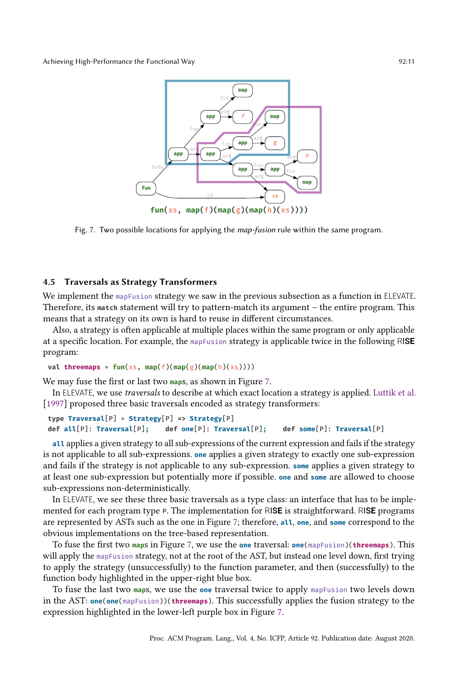<span id="page-11-0"></span>

Fig. 7. Two possible locations for applying the *map-fusion* rule within the same program.

# 4.5 Traversals as Strategy Transformers

We implement the mapFusion strategy we saw in the previous subsection as a function in ELEVATE. Therefore, its match statement will try to pattern-match its argument – the entire program. This means that a strategy on its own is hard to reuse in different circumstances.

Also, a strategy is often applicable at multiple places within the same program or only applicable at a specific location. For example, the mapFusion strategy is applicable twice in the following RIS**E** program:

```
val threemaps = fun(xs, map(f)(map(g)(map(h)(xs)))))
```
We may fuse the first or last two **map**s, as shown in Figure [7.](#page-11-0)

In ELEVATE, we use traversals to describe at which exact location a strategy is applied. [Luttik et al.](#page-28-14) [\[1997\]](#page-28-14) proposed three basic traversals encoded as strategy transformers:

```
type Traversal[P] = Strategy[P] => Strategy[P]
def all[P]: Traversal[P]; def one[P]: Traversal[P]; def some[P]: Traversal[P]
```
**all** applies a given strategy to all sub-expressions of the current expression and fails if the strategy is not applicable to all sub-expressions. **one** applies a given strategy to exactly one sub-expression and fails if the strategy is not applicable to any sub-expression. **some** applies a given strategy to at least one sub-expression but potentially more if possible. **one** and **some** are allowed to choose sub-expressions non-deterministically.

In ELEVATE, we see these three basic traversals as a type class: an interface that has to be implemented for each program type <sup>P</sup>. The implementation for RIS**E** is straightforward. RIS**E** programs are represented by ASTs such as the one in Figure [7;](#page-11-0) therefore, **all**, **one**, and **some** correspond to the obvious implementations on the tree-based representation.

To fuse the first two **map**s in Figure [7,](#page-11-0) we use the **one** traversal: **one**(mapFusion)(**threemaps**). This will apply the mapFusion strategy, not at the root of the AST, but instead one level down, first trying to apply the strategy (unsuccessfully) to the function parameter, and then (successfully) to the function body highlighted in the upper-right blue box.

To fuse the last two **map**s, we use the **one** traversal twice to apply mapFusion two levels down in the AST: **one**(**one**(mapFusion))(**threemaps**). This successfully applies the fusion strategy to the expression highlighted in the lower-left purple box in Figure [7.](#page-11-0)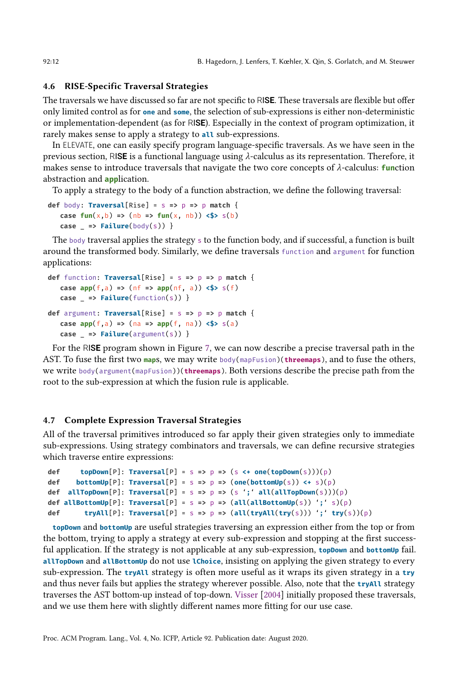# 4.6 RISE-Specific Traversal Strategies

The traversals we have discussed so far are not specific to RIS**E**. These traversals are flexible but offer only limited control as for **one** and **some**, the selection of sub-expressions is either non-deterministic or implementation-dependent (as for RIS**E**). Especially in the context of program optimization, it rarely makes sense to apply a strategy to **all** sub-expressions.

In ELEVATE, one can easily specify program language-specific traversals. As we have seen in the previous section, RISE is a functional language using  $\lambda$ -calculus as its representation. Therefore, it makes sense to introduce traversals that navigate the two core concepts of  $\lambda$ -calculus: **function** abstraction and **app**lication.

To apply a strategy to the body of a function abstraction, we define the following traversal:

```
def body: Traversal[Rise] = s => p => p match {
    case \text{fun}(x, b) \Rightarrow (\text{nb} \Rightarrow \text{fun}(x, \text{nb})) \Leftrightarrow s(b)\text{case} => \text{Failure}(\text{body}(s)) }
```
The body traversal applies the strategy s to the function body, and if successful, a function is built around the transformed body. Similarly, we define traversals function and argument for function applications:

```
def function: Traversal[Rise] = s => p => p match {
   case \text{app}(f, a) => (\text{nf} => \text{app}(nf, a)) <$> s(f)case _ => Failure(function(s)) }
def argument: Traversal[Rise] = s => p => p match {
   case \text{app}(f, a) => (\text{na} = \text{app}(f, \text{na})) <$> \text{s}(a)case _ => Failure(argument(s)) }
```
For the RIS**E** program shown in Figure [7,](#page-11-0) we can now describe a precise traversal path in the AST. To fuse the first two **map**s, we may write body(mapFusion)(**threemaps**), and to fuse the others, we write body(argument(mapFusion))(**threemaps**). Both versions describe the precise path from the root to the sub-expression at which the fusion rule is applicable.

#### 4.7 Complete Expression Traversal Strategies

All of the traversal primitives introduced so far apply their given strategies only to immediate sub-expressions. Using strategy combinators and traversals, we can define recursive strategies which traverse entire expressions:

```
def topDown[P]: Traversal[P] = S = D = D (s <+ one(topDown(S)))(p)
def bottomUp[P]: Traversal[P] = s => p => (one(bottomUp(s)) <+ s)(p)
def allTopDown[P]: Traversal[P] = s => p => (s ';' all(allTopDown(s)))(p)
def allBottomUp[P]: Traversal[P] = s => p => (all(allBottomUp(s)) ';' s)(p)
def tryAll[P]: Traversal[P] = s => p => (all(tryAll(try(s))) ';' try(s))(p)
```
**topDown** and **bottomUp** are useful strategies traversing an expression either from the top or from the bottom, trying to apply a strategy at every sub-expression and stopping at the first successful application. If the strategy is not applicable at any sub-expression, **topDown** and **bottomUp** fail. **allTopDown** and **allBottomUp** do not use **lChoice**, insisting on applying the given strategy to every sub-expression. The **tryAll** strategy is often more useful as it wraps its given strategy in a **try** and thus never fails but applies the strategy wherever possible. Also, note that the **tryAll** strategy traverses the AST bottom-up instead of top-down. [Visser](#page-29-4) [\[2004\]](#page-29-4) initially proposed these traversals, and we use them here with slightly different names more fitting for our use case.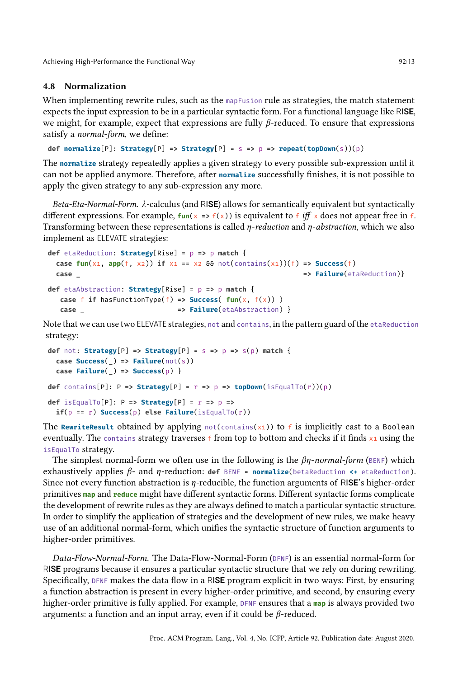# 4.8 Normalization

When implementing rewrite rules, such as the mapFusion rule as strategies, the match statement expects the input expression to be in a particular syntactic form. For a functional language like RIS**E**, we might, for example, expect that expressions are fully  $\beta$ -reduced. To ensure that expressions satisfy a normal-form, we define:

**def normalize**[P]: **Strategy**[P] **=> Strategy**[P] = s **=>** p **=> repeat**(**topDown**(s))(p)

The **normalize** strategy repeatedly applies a given strategy to every possible sub-expression until it can not be applied anymore. Therefore, after **normalize** successfully finishes, it is not possible to apply the given strategy to any sub-expression any more.

Beta-Eta-Normal-Form.  $\lambda$ -calculus (and RISE) allows for semantically equivalent but syntactically different expressions. For example,  $fun(x == f(x))$  is equivalent to f iff x does not appear free in f. Transforming between these representations is called  $\eta$ -reduction and  $\eta$ -abstraction, which we also implement as ELEVATE strategies:

```
def etaReduction: Strategy[Rise] = p => p match {
 case \text{fun}(x_1, \text{ app}(f, x_2)) if x_1 == x_2 && not(contains(x1))(f) => Success(f)
 case _ => Failure(etaReduction)}
def etaAbstraction: Strategy[Rise] = p => p match {
  case f if hasFunctionType(f) => Success( fun(x, f(x)) )
  case _ => Failure(etaAbstraction) }
```
Note that we can use two ELEVATE strategies, not and contains, in the pattern guard of the etaReduction strategy:

```
def not: Strategy[P] => Strategy[P] = s => p => s(p) match {
  case Success(_) => Failure(not(s))
 case Failure(_) => Success(p) }
def contains [P]: P => Strategy[P] = r => p => topDown(isEqualTo(r))(p)
def isEqualTo[P]: P => Strategy[P] = r => p =>
 if(p == r) Success(p) else Failure(isEqualTo(r))
```
The **RewriteResult** obtained by applying  $not(contains(x_1))$  to f is implicitly cast to a Boolean eventually. The contains strategy traverses  $f$  from top to bottom and checks if it finds  $x_1$  using the isEqualTo strategy.

The simplest normal-form we often use in the following is the  $\beta\eta$ -normal-form (BENF) which exhaustively applies  $\beta$ - and  $\eta$ -reduction: **def** BENF = **normalize**(betaReduction  $\leftrightarrow$  etaReduction). Since not every function abstraction is  $\eta$ -reducible, the function arguments of RI**SE**'s higher-order primitives **map** and **reduce** might have different syntactic forms. Different syntactic forms complicate the development of rewrite rules as they are always defined to match a particular syntactic structure. In order to simplify the application of strategies and the development of new rules, we make heavy use of an additional normal-form, which unifies the syntactic structure of function arguments to higher-order primitives.

Data-Flow-Normal-Form. The Data-Flow-Normal-Form (DFNF) is an essential normal-form for RIS**E** programs because it ensures a particular syntactic structure that we rely on during rewriting. Specifically, DFNF makes the data flow in a RIS**E** program explicit in two ways: First, by ensuring a function abstraction is present in every higher-order primitive, and second, by ensuring every higher-order primitive is fully applied. For example, DFNF ensures that a **map** is always provided two arguments: a function and an input array, even if it could be  $\beta$ -reduced.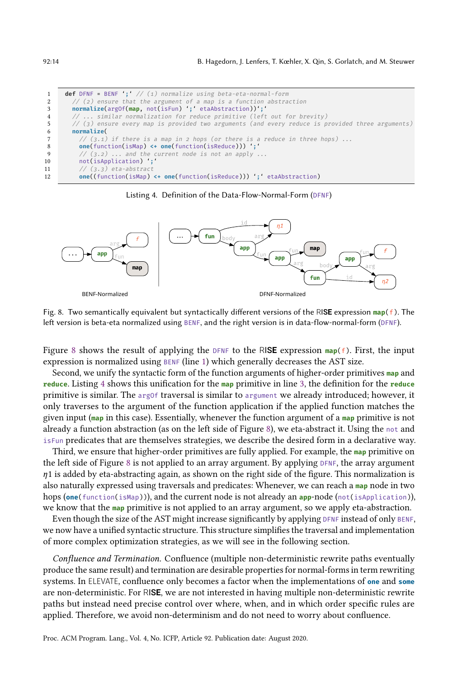<span id="page-14-3"></span><span id="page-14-2"></span><span id="page-14-1"></span>

| <sup>1</sup>    | <b>def</b> DFNF = BENF ';' $//$ (1) normalize using beta-eta-normal-form                                                                 |
|-----------------|------------------------------------------------------------------------------------------------------------------------------------------|
| 2               | // (2) ensure that the argument of a map is a function abstraction                                                                       |
| 3               | normalize(argOf(map, not(isFun) ';' etaAbstraction))';'                                                                                  |
| $4\overline{ }$ | //  similar normalization for reduce primitive (left out for brevity)                                                                    |
| 5               | // (3) ensure every map is provided two arguments (and every reduce is provided three arguments)                                         |
| 6               | normalize(                                                                                                                               |
| $7\overline{ }$ | // $(3.1)$ if there is a map in 2 hops (or there is a reduce in three hops)                                                              |
| 8               | <b>one</b> (function(isMap) $\leftarrow$ <b>one</b> (function(isReduce))) $':$                                                           |
| 9               | $// (3.2) $ and the current node is not an apply                                                                                         |
| 10              | not(isApplication) :                                                                                                                     |
| 11              | $// (3.3) eta-abstract$                                                                                                                  |
| 12              | <b>one</b> ( $(\text{function}(\text{isMap}) \leftrightarrow \text{one}(\text{function}(\text{isReduce})) )$ ) : $\cdot$ etaAbstraction) |

Listing 4. Definition of the Data-Flow-Normal-Form (DFNF)

<span id="page-14-0"></span>

Fig. 8. Two semantically equivalent but syntactically different versions of the RIS**E** expression **map**(f). The left version is beta-eta normalized using BENF, and the right version is in data-flow-normal-form (DFNF).

Figure [8](#page-14-0) shows the result of applying the DFNF to the RIS**E** expression **map**(f). First, the input expression is normalized using BENF (line [1\)](#page-14-1) which generally decreases the AST size.

Second, we unify the syntactic form of the function arguments of higher-order primitives **map** and **reduce**. Listing [4](#page-14-2) shows this unification for the **map** primitive in line [3,](#page-14-3) the definition for the **reduce** primitive is similar. The argOf traversal is similar to argument we already introduced; however, it only traverses to the argument of the function application if the applied function matches the given input (**map** in this case). Essentially, whenever the function argument of a **map** primitive is not already a function abstraction (as on the left side of Figure [8\)](#page-14-0), we eta-abstract it. Using the not and isFun predicates that are themselves strategies, we describe the desired form in a declarative way.

Third, we ensure that higher-order primitives are fully applied. For example, the **map** primitive on the left side of Figure [8](#page-14-0) is not applied to an array argument. By applying DFNF, the array argument  $n_1$  is added by eta-abstracting again, as shown on the right side of the figure. This normalization is also naturally expressed using traversals and predicates: Whenever, we can reach a **map** node in two hops (**one**(function(isMap))), and the current node is not already an **app**-node (not(isApplication)), we know that the **map** primitive is not applied to an array argument, so we apply eta-abstraction.

Even though the size of the AST might increase significantly by applying DFNF instead of only BENF, we now have a unified syntactic structure. This structure simplifies the traversal and implementation of more complex optimization strategies, as we will see in the following section.

Confluence and Termination. Confluence (multiple non-deterministic rewrite paths eventually produce the same result) and termination are desirable properties for normal-forms in term rewriting systems. In ELEVATE, confluence only becomes a factor when the implementations of **one** and **some** are non-deterministic. For RIS**E**, we are not interested in having multiple non-deterministic rewrite paths but instead need precise control over where, when, and in which order specific rules are applied. Therefore, we avoid non-determinism and do not need to worry about confluence.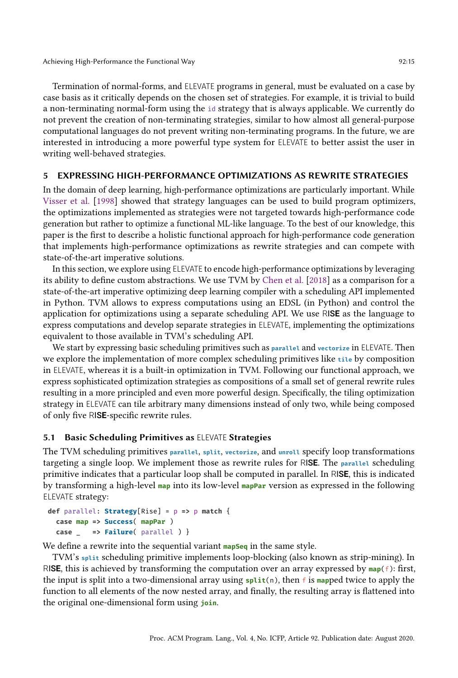Termination of normal-forms, and ELEVATE programs in general, must be evaluated on a case by case basis as it critically depends on the chosen set of strategies. For example, it is trivial to build a non-terminating normal-form using the id strategy that is always applicable. We currently do not prevent the creation of non-terminating strategies, similar to how almost all general-purpose computational languages do not prevent writing non-terminating programs. In the future, we are interested in introducing a more powerful type system for ELEVATE to better assist the user in writing well-behaved strategies.

#### <span id="page-15-0"></span>5 EXPRESSING HIGH-PERFORMANCE OPTIMIZATIONS AS REWRITE STRATEGIES

In the domain of deep learning, high-performance optimizations are particularly important. While [Visser et al.](#page-29-2) [\[1998\]](#page-29-2) showed that strategy languages can be used to build program optimizers, the optimizations implemented as strategies were not targeted towards high-performance code generation but rather to optimize a functional ML-like language. To the best of our knowledge, this paper is the first to describe a holistic functional approach for high-performance code generation that implements high-performance optimizations as rewrite strategies and can compete with state-of-the-art imperative solutions.

In this section, we explore using ELEVATE to encode high-performance optimizations by leveraging its ability to define custom abstractions. We use TVM by [Chen et al.](#page-27-2) [\[2018\]](#page-27-2) as a comparison for a state-of-the-art imperative optimizing deep learning compiler with a scheduling API implemented in Python. TVM allows to express computations using an EDSL (in Python) and control the application for optimizations using a separate scheduling API. We use RIS**E** as the language to express computations and develop separate strategies in ELEVATE, implementing the optimizations equivalent to those available in TVM's scheduling API.

We start by expressing basic scheduling primitives such as **parallel** and **vectorize** in ELEVATE. Then we explore the implementation of more complex scheduling primitives like **tile** by composition in ELEVATE, whereas it is a built-in optimization in TVM. Following our functional approach, we express sophisticated optimization strategies as compositions of a small set of general rewrite rules resulting in a more principled and even more powerful design. Specifically, the tiling optimization strategy in ELEVATE can tile arbitrary many dimensions instead of only two, while being composed of only five RIS**E**-specific rewrite rules.

#### 5.1 Basic Scheduling Primitives as ELEVATE Strategies

The TVM scheduling primitives **parallel**, **split**, **vectorize**, and **unroll** specify loop transformations targeting a single loop. We implement those as rewrite rules for RIS**E**. The **parallel** scheduling primitive indicates that a particular loop shall be computed in parallel. In RIS**E**, this is indicated by transforming a high-level **map** into its low-level **mapPar** version as expressed in the following ELEVATE strategy:

```
def parallel: Strategy[Rise] = p => p match {
 case map => Success( mapPar )
  case _ => Failure( parallel ) }
```
We define a rewrite into the sequential variant **mapSeq** in the same style.

TVM's **split** scheduling primitive implements loop-blocking (also known as strip-mining). In RISE, this is achieved by transforming the computation over an array expressed by  $\text{map}(f)$ : first, the input is split into a two-dimensional array using **split**(n), then f is **map**ped twice to apply the function to all elements of the now nested array, and finally, the resulting array is flattened into the original one-dimensional form using **join**.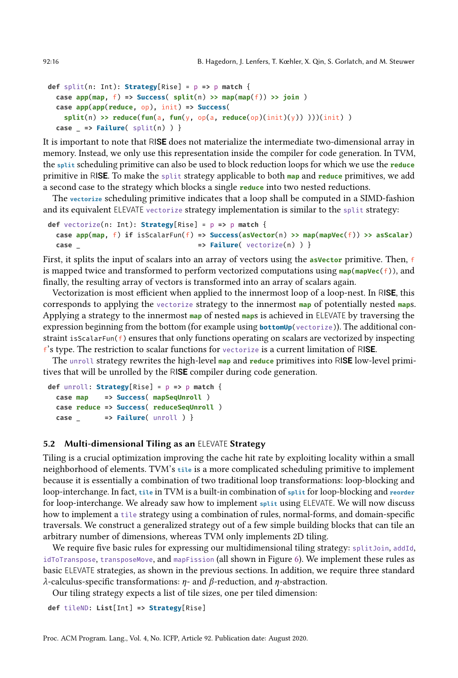```
def split(n: Int): Strategy[Rise] = p => p match {
  case \text{app}(\text{map}, f) => \text{Success}(\text{split}(n) >> \text{map}(\text{map}(f)) >> \text{join})case app(app(reduce, op), init) => Success(
    split(n) >> reduce(fun(a, fun(y, op(a, reduce(op)(init)(y)) )))(init) )
  case _ => Failure( split(n) ) }
```
It is important to note that RIS**E** does not materialize the intermediate two-dimensional array in memory. Instead, we only use this representation inside the compiler for code generation. In TVM, the **split** scheduling primitive can also be used to block reduction loops for which we use the **reduce** primitive in RIS**E**. To make the split strategy applicable to both **map** and **reduce** primitives, we add a second case to the strategy which blocks a single **reduce** into two nested reductions.

The **vectorize** scheduling primitive indicates that a loop shall be computed in a SIMD-fashion and its equivalent ELEVATE vectorize strategy implementation is similar to the split strategy:

```
def vectorize(n: Int): Strategy[Rise] = p => p match {
 case app(map, f) if isScalarFun(f) => Success(asVector(n) >> map(mapVec(f)) >> asScalar)
 case _ => Failure( vectorize(n) ) }
```
First, it splits the input of scalars into an array of vectors using the **asVector** primitive. Then, f is mapped twice and transformed to perform vectorized computations using  $\text{map}(\text{mapVec}(f))$ , and finally, the resulting array of vectors is transformed into an array of scalars again.

Vectorization is most efficient when applied to the innermost loop of a loop-nest. In RIS**E**, this corresponds to applying the vectorize strategy to the innermost **map** of potentially nested **map**s. Applying a strategy to the innermost **map** of nested **map**s is achieved in ELEVATE by traversing the expression beginning from the bottom (for example using **bottomUp**(vectorize)). The additional constraint isScalarFun( $f$ ) ensures that only functions operating on scalars are vectorized by inspecting <sup>f</sup>'s type. The restriction to scalar functions for vectorize is a current limitation of RIS**E**.

The unroll strategy rewrites the high-level **map** and **reduce** primitives into RIS**E** low-level primitives that will be unrolled by the RIS**E** compiler during code generation.

```
def unroll: Strategy[Rise] = p => p match {
  case map => Success( mapSeqUnroll )
  case reduce => Success( reduceSeqUnroll )
  case _ => Failure( unroll ) }
```
#### 5.2 Multi-dimensional Tiling as an ELEVATE Strategy

Tiling is a crucial optimization improving the cache hit rate by exploiting locality within a small neighborhood of elements. TVM's **tile** is a more complicated scheduling primitive to implement because it is essentially a combination of two traditional loop transformations: loop-blocking and loop-interchange. In fact, **tile** in TVM is a built-in combination of **split** for loop-blocking and **reorder** for loop-interchange. We already saw how to implement **split** using ELEVATE. We will now discuss how to implement a tile strategy using a combination of rules, normal-forms, and domain-specific traversals. We construct a generalized strategy out of a few simple building blocks that can tile an arbitrary number of dimensions, whereas TVM only implements 2D tiling.

We require five basic rules for expressing our multidimensional tiling strategy: splitJoin, addId, idToTranspose, transposeMove, and mapFission (all shown in Figure [6\)](#page-9-1). We implement these rules as basic ELEVATE strategies, as shown in the previous sections. In addition, we require three standard  $\lambda$ -calculus-specific transformations:  $\eta$ - and  $\beta$ -reduction, and  $\eta$ -abstraction.

Our tiling strategy expects a list of tile sizes, one per tiled dimension:

```
def tileND: List[Int] => Strategy[Rise]
```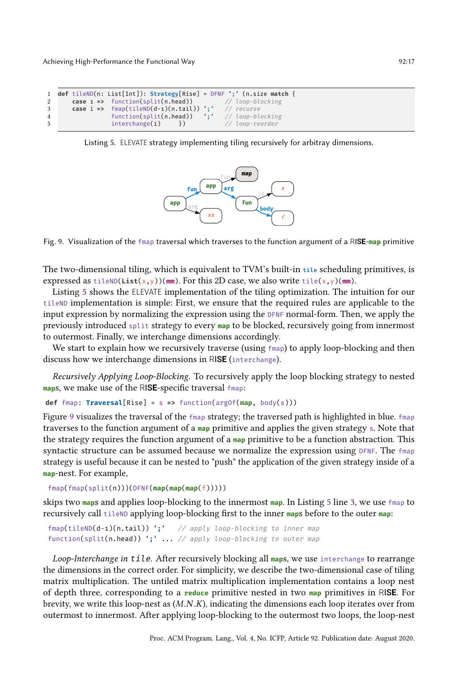```
1 def tileND(n: List[Int]): Strategy[Rise] = DFNF ';' (n.size match {
2 case 1 => function(split(n.head)) // loop-blocking<br>3 case i => fmap(tileND(d-1)(n.tail)) ';' // recurse
                   fmap(tileND(d-1)(n.tail)) ';' // recurse<br>function(split(n.head)) ';' // loop-blocking
4 function(split(n.head))
5 interchange(i) }) // loop-reorder
```
<span id="page-17-1"></span>Listing 5. ELEVATE strategy implementing tiling recursively for arbitray dimensions.



Fig. 9. Visualization of the fmap traversal which traverses to the function argument of a RIS**E**-**map** primitive

The two-dimensional tiling, which is equivalent to TVM's built-in **tile** scheduling primitives, is expressed as tileND(**List**( $x, y$ ))( $mm$ ). For this 2D case, we also write tile( $x, y$ )( $mm$ ).

Listing [5](#page-17-0) shows the ELEVATE implementation of the tiling optimization. The intuition for our tileND implementation is simple: First, we ensure that the required rules are applicable to the input expression by normalizing the expression using the DFNF normal-form. Then, we apply the previously introduced split strategy to every **map** to be blocked, recursively going from innermost to outermost. Finally, we interchange dimensions accordingly.

We start to explain how we recursively traverse (using  $fmap$ ) to apply loop-blocking and then discuss how we interchange dimensions in RIS**E** (interchange).

Recursively Applying Loop-Blocking. To recursively apply the loop blocking strategy to nested **map**s, we make use of the RIS**E**-specific traversal fmap:

```
def fmap: Traversal[Rise] = s => function(argOf(map, body(s)))
```
Figure [9](#page-17-1) visualizes the traversal of the fmap strategy; the traversed path is highlighted in blue. fmap traverses to the function argument of a **map** primitive and applies the given strategy s. Note that the strategy requires the function argument of a **map** primitive to be a function abstraction. This syntactic structure can be assumed because we normalize the expression using DFNF. The fmap strategy is useful because it can be nested to "push" the application of the given strategy inside of a **map**-nest. For example,

```
fmap(fmap(split(n)))(DFNF(map(map(map(f)))))
```
skips two **map**s and applies loop-blocking to the innermost **map**. In Listing [5](#page-17-0) line [3,](#page-17-2) we use fmap to recursively call tileND applying loop-blocking first to the inner **map**s before to the outer **map**:

```
fmap(tileND(d-1)(n.tail)) ';' // apply loop-blocking to inner map
function(split(n.head)) ';' ... // apply loop-blocking to outer map
```
Loop-Interchange in tile. After recursively blocking all **map**s, we use interchange to rearrange the dimensions in the correct order. For simplicity, we describe the two-dimensional case of tiling matrix multiplication. The untiled matrix multiplication implementation contains a loop nest of depth three, corresponding to a **reduce** primitive nested in two **map** primitives in RIS**E**. For brevity, we write this loop-nest as  $(M.N.K)$ , indicating the dimensions each loop iterates over from outermost to innermost. After applying loop-blocking to the outermost two loops, the loop-nest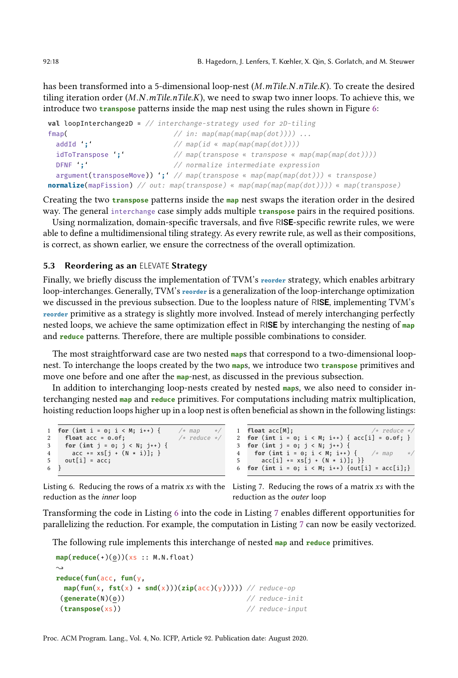has been transformed into a 5-dimensional loop-nest  $(M.mTile.N.nTile.K)$ . To create the desired tiling iteration order  $(M.N.mTile.nTile.K)$ , we need to swap two inner loops. To achieve this, we introduce two **transpose** patterns inside the map nest using the rules shown in Figure [6:](#page-9-1)

```
val loopInterchange2D = // interchange-strategy used for 2D-tiling
fmap( \frac{1}{2} \frac{1}{2} \frac{1}{2} \frac{1}{2} \frac{1}{2} \frac{1}{2} \frac{1}{2} \frac{1}{2} \frac{1}{2} \frac{1}{2} \frac{1}{2} \frac{1}{2} \frac{1}{2} \frac{1}{2} \frac{1}{2} \frac{1}{2} \frac{1}{2} \frac{1}{2} \frac{1}{2} \frac{1}{2} \frac{1}{2} \frac{1addId ';' \frac{1}{2} // map(id « map(map(map(dot))))
   idToTranspose ';' \frac{1}{\sqrt{mnp(\text{transpose} \cdot \text{triangle} \cdot \text{map}(\text{map}(\text{map}(\text{map}(\text{not})))))}}DFNF ';' // normalize intermediate expression
  argument(transposeMove)) ';' // map(transpose « map(map(map(dot))) « transpose)
normalize(mapFission) // out: map(transpose) « map(map(map(map(dot)))) « map(transpose)
```
Creating the two **transpose** patterns inside the **map** nest swaps the iteration order in the desired way. The general interchange case simply adds multiple **transpose** pairs in the required positions.

Using normalization, domain-specific traversals, and five RIS**E**-specific rewrite rules, we were able to define a multidimensional tiling strategy. As every rewrite rule, as well as their compositions, is correct, as shown earlier, we ensure the correctness of the overall optimization.

# 5.3 Reordering as an ELEVATE Strategy

Finally, we briefly discuss the implementation of TVM's **reorder** strategy, which enables arbitrary loop-interchanges. Generally, TVM's **reorder** is a generalization of the loop-interchange optimization we discussed in the previous subsection. Due to the loopless nature of RIS**E**, implementing TVM's **reorder** primitive as a strategy is slightly more involved. Instead of merely interchanging perfectly nested loops, we achieve the same optimization effect in RIS**E** by interchanging the nesting of **map** and **reduce** patterns. Therefore, there are multiple possible combinations to consider.

The most straightforward case are two nested **map**s that correspond to a two-dimensional loopnest. To interchange the loops created by the two **map**s, we introduce two **transpose** primitives and move one before and one after the **map**-nest, as discussed in the previous subsection.

In addition to interchanging loop-nests created by nested **map**s, we also need to consider interchanging nested **map** and **reduce** primitives. For computations including matrix multiplication, hoisting reduction loops higher up in a loop nest is often beneficial as shown in the following listings:

<span id="page-18-0"></span>

|   | 1 for (int i = $0; i < M; i++)$ {     | $/* map$         | $*$ |   |
|---|---------------------------------------|------------------|-----|---|
|   | float $acc = 0.0f$ ;                  | $/*$ reduce $*/$ |     | 2 |
| 3 | for (int $j = 0$ ; $j < N$ ; $j++)$ { |                  |     | 3 |
| 4 | $acc += xs[j + (N * i)];$             |                  |     | 4 |
| 5 | $out[i] = acc;$                       |                  |     | 5 |
|   |                                       |                  |     |   |

<span id="page-18-1"></span>

| 1 <b>float</b> acc[M];<br>$/*$ reduce */            |  |
|-----------------------------------------------------|--|
|                                                     |  |
| 3 <b>for (int</b> j = 0; j < N; j++) {              |  |
| 4 <b>for (int i = 0; i &lt; M; i++) {</b> /* map */ |  |
| 5 $acc[i] += xs[j + (N * i)]; \}$                   |  |
| 6 for (int i = 0; i < M; i++) {out[i] = acc[i];}    |  |

Listing 6. Reducing the rows of a matrix  $xs$  with the Listing 7. Reducing the rows of a matrix  $xs$  with the reduction as the inner loop

reduction as the outer loop

Transforming the code in Listing [6](#page-18-0) into the code in Listing [7](#page-18-1) enables different opportunities for parallelizing the reduction. For example, the computation in Listing [7](#page-18-1) can now be easily vectorized.

The following rule implements this interchange of nested **map** and **reduce** primitives.

```
map(reduce(+)(0))(xs :: M.N.float)
\rightsquigarrowreduce(fun(acc, fun(y,
 map(fun(x, fst(x) + snd(x)))(zip(acc(y))))) // reduce-op
(generate(N)(0)) // reduce-init
(transpose(xs)) // reduce-input
```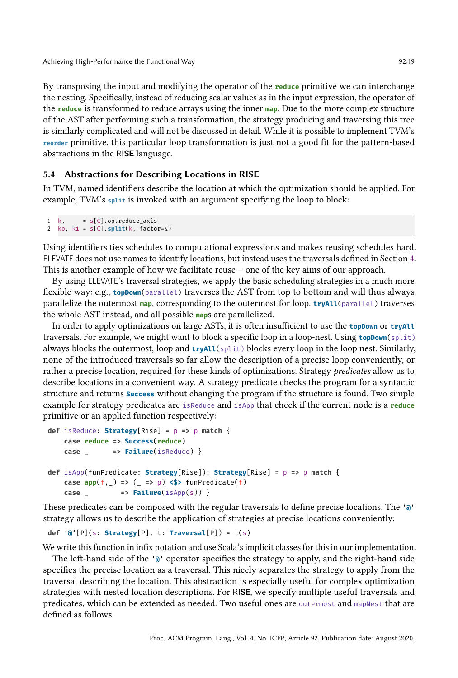By transposing the input and modifying the operator of the **reduce** primitive we can interchange the nesting. Specifically, instead of reducing scalar values as in the input expression, the operator of the **reduce** is transformed to reduce arrays using the inner **map**. Due to the more complex structure of the AST after performing such a transformation, the strategy producing and traversing this tree is similarly complicated and will not be discussed in detail. While it is possible to implement TVM's **reorder** primitive, this particular loop transformation is just not a good fit for the pattern-based abstractions in the RIS**E** language.

# 5.4 Abstractions for Describing Locations in RISE

In TVM, named identifiers describe the location at which the optimization should be applied. For example, TVM's **split** is invoked with an argument specifying the loop to block:

```
1 \quad k, = S[C] . op. reduce_ axis
```

```
2 ko, ki = s[C].split(k, factor=4)
```
Using identifiers ties schedules to computational expressions and makes reusing schedules hard. ELEVATE does not use names to identify locations, but instead uses the traversals defined in Section [4.](#page-8-1) This is another example of how we facilitate reuse  $-$  one of the key aims of our approach.

By using ELEVATE's traversal strategies, we apply the basic scheduling strategies in a much more flexible way: e.g., **topDown**(parallel) traverses the AST from top to bottom and will thus always parallelize the outermost **map**, corresponding to the outermost for loop. **tryAll**(parallel) traverses the whole AST instead, and all possible **map**s are parallelized.

In order to apply optimizations on large ASTs, it is often insufficient to use the **topDown** or **tryAll** traversals. For example, we might want to block a specific loop in a loop-nest. Using **topDown**(split) always blocks the outermost, loop and **tryAll**(split) blocks every loop in the loop nest. Similarly, none of the introduced traversals so far allow the description of a precise loop conveniently, or rather a precise location, required for these kinds of optimizations. Strategy *predicates* allow us to describe locations in a convenient way. A strategy predicate checks the program for a syntactic structure and returns **Success** without changing the program if the structure is found. Two simple example for strategy predicates are isReduce and isApp that check if the current node is a **reduce** primitive or an applied function respectively:

```
def isReduce: Strategy[Rise] = p => p match {
   case reduce => Success(reduce)
   case _ => Failure(isReduce) }
def isApp(funPredicate: Strategy[Rise]): Strategy[Rise] = p => p match {
   case app(f,_) => (_ => p) <$> funPredicate(f)
   case _ => Failure(isApp(s)) }
```
These predicates can be composed with the regular traversals to define precise locations. The '**@**' strategy allows us to describe the application of strategies at precise locations conveniently:

```
def '@'[P](s: Strategy[P], t: Traversal[P]) = t(s)
```
We write this function in infix notation and use Scala's implicit classes for this in our implementation.

The left-hand side of the '**@**' operator specifies the strategy to apply, and the right-hand side specifies the precise location as a traversal. This nicely separates the strategy to apply from the traversal describing the location. This abstraction is especially useful for complex optimization strategies with nested location descriptions. For RIS**E**, we specify multiple useful traversals and predicates, which can be extended as needed. Two useful ones are outermost and mapNest that are defined as follows.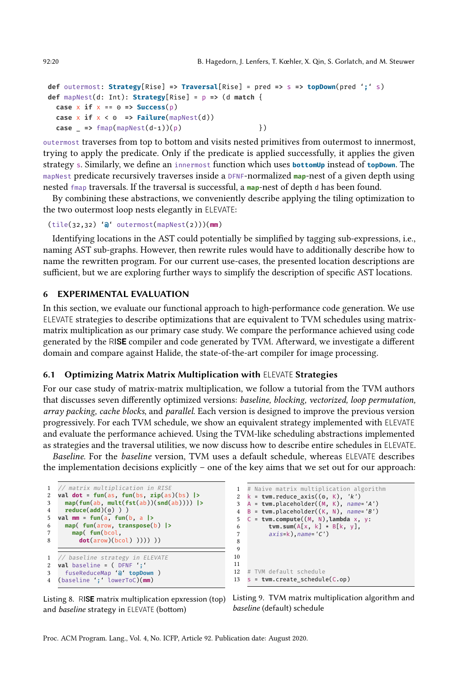```
def outermost: Strategy[Rise] => Traversal[Rise] = pred => s => topDown(pred ';' s)
def mapNest(d: Int): Strategy[Rise] = p => (d match {
  \text{case } x \text{ if } x == 0 \Rightarrow \text{Success}(p)case x if x < 0 => Failure(mapNest(d))
  case _ => fmap(mapNest(d-1))(p) })
```
outermost traverses from top to bottom and visits nested primitives from outermost to innermost, trying to apply the predicate. Only if the predicate is applied successfully, it applies the given strategy s. Similarly, we define an innermost function which uses **bottomUp** instead of **topDown**. The mapNest predicate recursively traverses inside a DFNF-normalized **map**-nest of a given depth using nested fmap traversals. If the traversal is successful, a **map**-nest of depth d has been found.

By combining these abstractions, we conveniently describe applying the tiling optimization to the two outermost loop nests elegantly in ELEVATE:

```
(tile(32,32) '@' outermost(mapNest(2)))(mm)
```
Identifying locations in the AST could potentially be simplified by tagging sub-expressions, i.e., naming AST sub-graphs. However, then rewrite rules would have to additionally describe how to name the rewritten program. For our current use-cases, the presented location descriptions are sufficient, but we are exploring further ways to simplify the description of specific AST locations.

#### <span id="page-20-0"></span>6 EXPERIMENTAL EVALUATION

In this section, we evaluate our functional approach to high-performance code generation. We use ELEVATE strategies to describe optimizations that are equivalent to TVM schedules using matrixmatrix multiplication as our primary case study. We compare the performance achieved using code generated by the RIS**E** compiler and code generated by TVM. Afterward, we investigate a different domain and compare against Halide, the state-of-the-art compiler for image processing.

#### 6.1 Optimizing Matrix Matrix Multiplication with ELEVATE Strategies

For our case study of matrix-matrix multiplication, we follow a tutorial from the TVM authors that discusses seven differently optimized versions: baseline, blocking, vectorized, loop permutation, array packing, cache blocks, and parallel. Each version is designed to improve the previous version progressively. For each TVM schedule, we show an equivalent strategy implemented with ELEVATE and evaluate the performance achieved. Using the TVM-like scheduling abstractions implemented as strategies and the traversal utilities, we now discuss how to describe entire schedules in ELEVATE.

Baseline. For the baseline version, TVM uses a default schedule, whereas ELEVATE describes the implementation decisions explicitly  $-$  one of the key aims that we set out for our approach:

```
1 // matrix multiplication in RISE<br>2 val dot = fun(as. fun(bs. zin(as)
  2 val dot = fun(as, fun(bs, zip(as)(bs) |>
3 map(fun(ab, mult(fst(ab))(snd(ab)))) |>
4 reduce(add)(\underline{0})))<br>5 val mm = fun(\underline{a}, fun(
  5 val mm = fun(a, fun(b, a |>
6 map( fun(arow, transpose(b) |>
7 map( fun(bcol,
           dot(arow)(bcol) )))))))
1 // baseline strategy in ELEVATE
2 val baseline = ( DFNF ';'
3 fuseReduceMap '@' topDown )
4 (baseline ';' lowerToC)(mm)
```
<span id="page-20-4"></span>Listing 8. RIS**E** matrix multiplication epxression (top) and *baseline* strategy in ELEVATE (bottom)

```
1 # Naive matrix multiplication algorithm
2 k = tvm.reduce_axis((0, K), 'k')
3 A = tvm.placeholder((M, K), name='A')<br>4 B = tvm.placeholder((K, N), name='B')
   4 B = tvm.placeholder((K, N), name='B')
5 C = tvm.compute((M, N),lambda x, y:
6 tvm.sum(A[X, k] * B[k, y],<br>
7 axissk) names C'axis=k), name='C')
8
9
10
\frac{11}{12}# TVM default schedule
13 s = tvm.create_schedule(C.op)
```
Listing 9. TVM matrix multiplication algorithm and baseline (default) schedule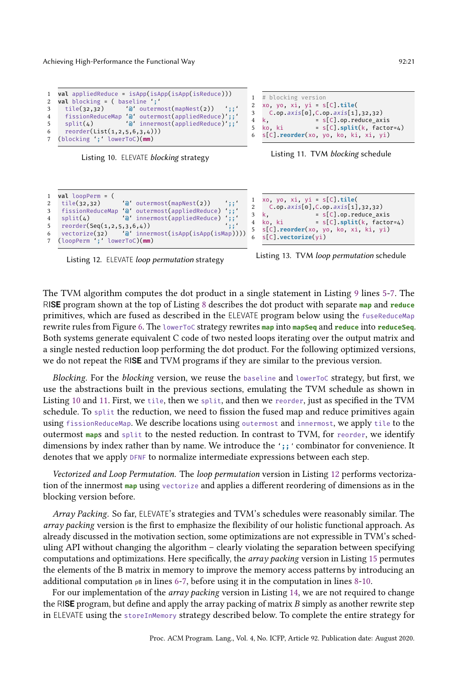```
1 val appliedReduce = isApp(isApp(isApp(isReduce)))
2 val blocking = ( baseline ';'
                   3 tile(32,32) '@' outermost(mapNest(2)) ';;'
4 fissionReduceMap '@' outermost(appliedReduce)';;'
5 split(4) '@' innermost(appliedReduce)';;'
6 reorder(List(1,2,5,6,3,4)))
7 (blocking ';' lowerToC)(mm)
```
Listing 10. ELEVATE blocking strategy

```
1 val loopPerm = (
2 tile(32,32) 'a' outermost(mapNest(2)) ';;<br>3 fissionReduceMap 'a' outermost(appliedReduce) ';;'<br>4 split(4) 'a' innermost(appliedReduce) ';;'
3 fissionReduceMap '@' outermost(appliedReduce) ';;'
4 split(4) '@' innermost(appliedReduce) ';;'
5 reorder(Seq(1,2,5,3,6,4))<br>6 vectorize(32) 'a' inne
6 vectorize(32) '@' innermost(isApp(isApp(isMap))))
7 (loopPerm ';' lowerToC)(mm)
```
Listing 12. ELEVATE *loop permutation* strategy

```
1 # blocking version
2 xo, yo, xi, yi = s[C].tile(
3 C.\texttt{op.axis[0]}, C.\texttt{op.axis[1]},32,32)<br>4 k, = s[C].\texttt{op.reduce\_ax}= s[C].op. reduce\_axis<br>ki = s[C].split(k. factor)5 ko, ki = s[C].split(k, factor=4)6 s[C].reorder(xo, yo, ko, ki, xi, yi)
```


```
1 xo, yo, xi, yi = s[C].tile(
2 C.\text{op.axis[0],} C.\text{op.axis[1],}32,32)<br>3 k, = S[C].\text{op.reduce\_ax}3 k, = s[C].op.reduce_axis
4 ko, ki = s[C].split(k, factor=4)
5 s[C].reorder(xo, yo, ko, xi, ki, yi)
   6 s[C].vectorize(yi)
```

```
Listing 13. TVM loop permutation schedule
```
The TVM algorithm computes the dot product in a single statement in Listing [9](#page-20-1) lines [5-](#page-20-2)[7.](#page-20-3) The RIS**E** program shown at the top of Listing [8](#page-20-4) describes the dot product with separate **map** and **reduce** primitives, which are fused as described in the ELEVATE program below using the fuseReduceMap rewrite rules from Figure [6.](#page-9-1) The lowerToC strategy rewrites **map** into **mapSeq** and **reduce** into **reduceSeq**. Both systems generate equivalent C code of two nested loops iterating over the output matrix and a single nested reduction loop performing the dot product. For the following optimized versions, we do not repeat the RIS**E** and TVM programs if they are similar to the previous version.

Blocking. For the blocking version, we reuse the baseline and lowerToC strategy, but first, we use the abstractions built in the previous sections, emulating the TVM schedule as shown in Listing [10](#page-21-0) and [11.](#page-21-1) First, we tile, then we split, and then we reorder, just as specified in the TVM schedule. To split the reduction, we need to fission the fused map and reduce primitives again using fissionReduceMap. We describe locations using outermost and innermost, we apply tile to the outermost **map**s and split to the nested reduction. In contrast to TVM, for reorder, we identify dimensions by index rather than by name. We introduce the '**;;**' combinator for convenience. It denotes that we apply DFNF to normalize intermediate expressions between each step.

Vectorized and Loop Permutation. The loop permutation version in Listing [12](#page-21-2) performs vectorization of the innermost **map** using vectorize and applies a different reordering of dimensions as in the blocking version before.

Array Packing. So far, ELEVATE's strategies and TVM's schedules were reasonably similar. The array packing version is the first to emphasize the flexibility of our holistic functional approach. As already discussed in the motivation section, some optimizations are not expressible in TVM's scheduling API without changing the algorithm - clearly violating the separation between specifying computations and optimizations. Here specifically, the *array packing* version in Listing [15](#page-22-0) permutes the elements of the B matrix in memory to improve the memory access patterns by introducing an additional computation  $p\text{B}$  in lines [6](#page-22-1)[-7,](#page-22-2) before using it in the computation in lines [8-](#page-22-3)[10.](#page-22-4)

For our implementation of the *array packing* version in Listing [14,](#page-22-5) we are not required to change the RISE program, but define and apply the array packing of matrix  $B$  simply as another rewrite step in ELEVATE using the storeInMemory strategy described below. To complete the entire strategy for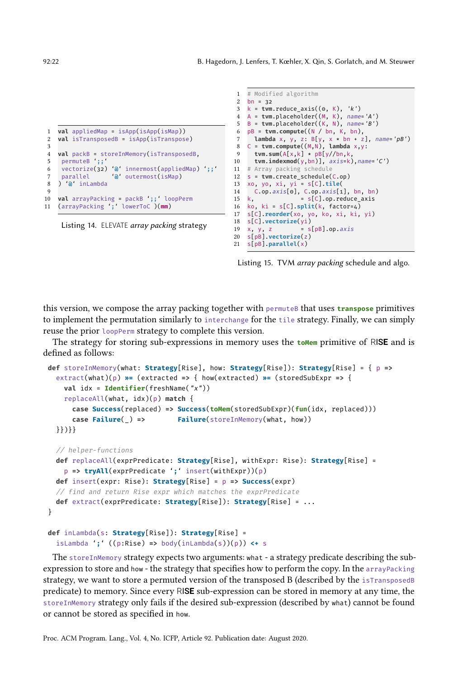```
1 val appliedMap = isApp(isApp(isMap))
2 val isTransposedB = isApp(isTranspose)
3
4 val packB = storeInMemory(isTransposedB,
5 permuteB ';;'
6 vectorize(32) '@' innermost(appliedMap) ';;'
                     '\mathsf{\hat{a}}' outermost(isMap)
8 ) '@' inLambda
9
10 val arrayPacking = packB ';;' loopPerm
11 (arrayPacking ';' lowerToC )(mm)
```
Listing 14. ELEVATE *array packing* strategy

```
1 # Modified algorithm
 2 bn = 32
 3 k = tvm.reduce_axis((0, K), 'k')
 4 A = tvm.placeholder((M, K), name='A')
5 B = tvm.placeholder((K, N), name='B')
 6 pB = tvm.compute((N / bn, K, bn),
 7 lambda x, y, z: B[y, x * bn + z], name='pB')
8 C = tvm.compute((M,N), lambda x,y:
9 tvm.sum(A[x,k] * pB[y//bn,k,
10 tvm.indexmod(y,bn)], axis=k),name='C')
11 # Array packing schedule
12 s = tvm.create_schedule(C.op)
13 xo, yo, xi, yi = s[C].tile(
14 C.\texttt{op}.\texttt{axis[0]}, C.\texttt{op}.\texttt{axis[1]}, \texttt{bn}, \texttt{bn})<br>15 k, = S[C].\texttt{op}.\texttt{reduce\_axis}= s[C] . op. reduce_axis16 ko, ki = s[C].split(k, factor=4)
17 s[C].reorder(xo, yo, ko, xi, ki, yi)
18 s[C].vectorize(yi)
                       = s[pB].op.axis20 s[pB].vectorize(z)
21 s[pB].parallel(x)
```
Listing 15. TVM array packing schedule and algo.

this version, we compose the array packing together with permuteB that uses **transpose** primitives to implement the permutation similarly to interchange for the tile strategy. Finally, we can simply reuse the prior loopPerm strategy to complete this version.

The strategy for storing sub-expressions in memory uses the **toMem** primitive of RISE and is defined as follows:

```
def storeInMemory(what: Strategy[Rise], how: Strategy[Rise]): Strategy[Rise] = { p =>
 extract(what)(p) ż= (extracted => { how(extracted) ż= (storedSubExpr => {
    val idx = Identifier(freshName("x"))
    replaceAll(what, idx)(p) match {
     case Success(replaced) => Success(toMem(storedSubExpr)(fun(idx, replaced)))
     case Failure(_) => Failure(storeInMemory(what, how))
 }})}}
 // helper-functions
 def replaceAll(exprPredicate: Strategy[Rise], withExpr: Rise): Strategy[Rise] =
    p => tryAll(exprPredicate ';' insert(withExpr))(p)
 def insert(expr: Rise): Strategy[Rise] = p => Success(expr)
 // find and return Rise expr which matches the exprPredicate
 def extract(exprPredicate: Strategy[Rise]): Strategy[Rise] = ...
}
```

```
def inLambda(s: Strategy[Rise]): Strategy[Rise] =
  isLambda ';' ((p:Rise) => body(inLambda(s))(p)) <+ s
```
The storeInMemory strategy expects two arguments: what - a strategy predicate describing the subexpression to store and how - the strategy that specifies how to perform the copy. In the arrayPacking strategy, we want to store a permuted version of the transposed B (described by the isTransposedB predicate) to memory. Since every RIS**E** sub-expression can be stored in memory at any time, the storeInMemory strategy only fails if the desired sub-expression (described by what) cannot be found or cannot be stored as specified in how.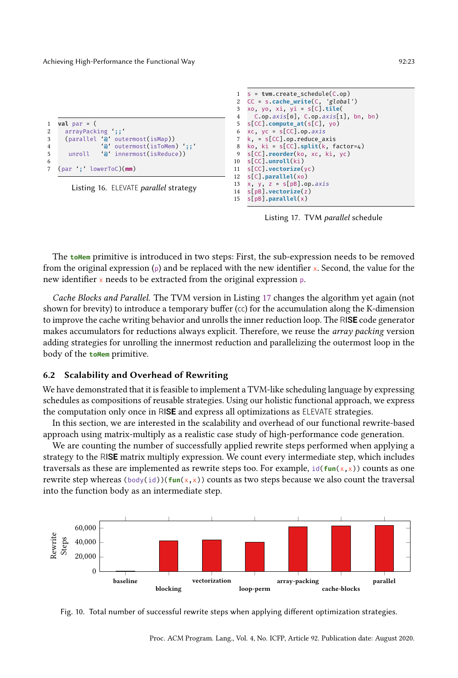| $\mathbf{1}$   | $val par = ($                               |
|----------------|---------------------------------------------|
| $\overline{2}$ | arrayPacking ::                             |
| 3              | (parallel 'a' outermost(isMap))             |
| $\overline{4}$ | $'$ $\mathfrak{d}'$ outermost(isToMem) $';$ |
| 5              | unroll $'$ <b>a</b> innermost(is Reduce))   |
| 6              |                                             |
|                | 7 (par ';' lowerToC)(mm)                    |
|                |                                             |

Listing 16. ELEVATE parallel strategy

```
1 s = tvm.create_schedule(C.op)
2 CC = s.cache_write(C, 'global')
    3 xo, yo, xi, yi = s[C].tile(
4 C.op.axis[o], C.\text{op.axis}[1], \text{bn}, \text{bn})5 s[CC].compute_at(s[C], yo)
6 xc, yc = s[CC] . op. axis7 k, = s[CC].op.reduce_axis<br>8 ko ki = s[CC] snlit(k f
8 ko, ki = s[CC].split(k, factor=4)
9 s[CC].reorder(ko, xc, ki, yc)
10 s[CC].unroll(ki)
11 s[CC].vectorize(yc)
    12 s[C].parallel(xo)
13 x, y, z = s[pB].op.axis14 s[pB].vectorize(z)
    15 s[pB].parallel(x)
```
Listing 17. TVM parallel schedule

The **toMem** primitive is introduced in two steps: First, the sub-expression needs to be removed from the original expression  $(p)$  and be replaced with the new identifier x. Second, the value for the new identifier x needs to be extracted from the original expression p.

Cache Blocks and Parallel. The TVM version in Listing [17](#page-23-0) changes the algorithm yet again (not shown for brevity) to introduce a temporary buffer  $(cc)$  for the accumulation along the K-dimension to improve the cache writing behavior and unrolls the inner reduction loop. The RIS**E** code generator makes accumulators for reductions always explicit. Therefore, we reuse the *array packing* version adding strategies for unrolling the innermost reduction and parallelizing the outermost loop in the body of the **toMem** primitive.

#### 6.2 Scalability and Overhead of Rewriting

We have demonstrated that it is feasible to implement a TVM-like scheduling language by expressing schedules as compositions of reusable strategies. Using our holistic functional approach, we express the computation only once in RIS**E** and express all optimizations as ELEVATE strategies.

In this section, we are interested in the scalability and overhead of our functional rewrite-based approach using matrix-multiply as a realistic case study of high-performance code generation.

We are counting the number of successfully applied rewrite steps performed when applying a strategy to the RIS**E** matrix multiply expression. We count every intermediate step, which includes traversals as these are implemented as rewrite steps too. For example,  $id(fun(x, x))$  counts as one rewrite step whereas ( $body(id)$ )( $fun(x,x)$ ) counts as two steps because we also count the traversal into the function body as an intermediate step.

<span id="page-23-1"></span>

Fig. 10. Total number of successful rewrite steps when applying different optimization strategies.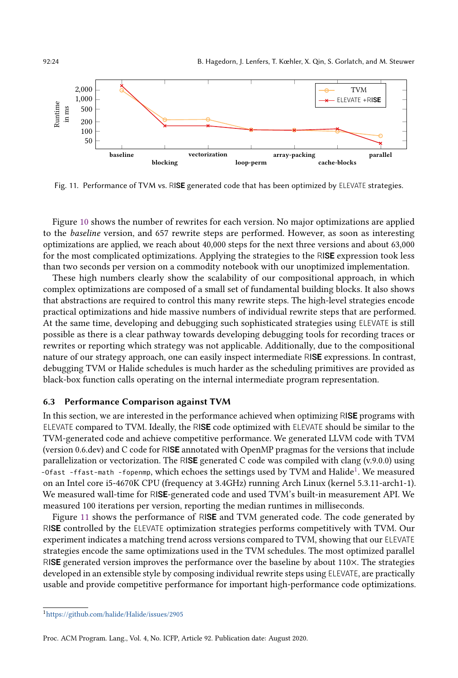<span id="page-24-1"></span>

Fig. 11. Performance of TVM vs. RIS**E** generated code that has been optimized by ELEVATE strategies.

Figure [10](#page-23-1) shows the number of rewrites for each version. No major optimizations are applied to the baseline version, and 657 rewrite steps are performed. However, as soon as interesting optimizations are applied, we reach about 40,000 steps for the next three versions and about 63,000 for the most complicated optimizations. Applying the strategies to the RIS**E** expression took less than two seconds per version on a commodity notebook with our unoptimized implementation.

These high numbers clearly show the scalability of our compositional approach, in which complex optimizations are composed of a small set of fundamental building blocks. It also shows that abstractions are required to control this many rewrite steps. The high-level strategies encode practical optimizations and hide massive numbers of individual rewrite steps that are performed. At the same time, developing and debugging such sophisticated strategies using ELEVATE is still possible as there is a clear pathway towards developing debugging tools for recording traces or rewrites or reporting which strategy was not applicable. Additionally, due to the compositional nature of our strategy approach, one can easily inspect intermediate RIS**E** expressions. In contrast, debugging TVM or Halide schedules is much harder as the scheduling primitives are provided as black-box function calls operating on the internal intermediate program representation.

#### 6.3 Performance Comparison against TVM

In this section, we are interested in the performance achieved when optimizing RIS**E** programs with ELEVATE compared to TVM. Ideally, the RIS**E** code optimized with ELEVATE should be similar to the TVM-generated code and achieve competitive performance. We generated LLVM code with TVM (version 0.6.dev) and C code for RIS**E** annotated with OpenMP pragmas for the versions that include parallelization or vectorization. The RIS**E** generated C code was compiled with clang (v.9.0.0) using -Ofast -ffast-math -fopenmp, which echoes the settings used by TVM and Halide<sup>[1](#page-24-0)</sup>. We measured on an Intel core i5-4670K CPU (frequency at 3.4GHz) running Arch Linux (kernel 5.3.11-arch1-1). We measured wall-time for RIS**E**-generated code and used TVM's built-in measurement API. We measured 100 iterations per version, reporting the median runtimes in milliseconds.

Figure [11](#page-24-1) shows the performance of RIS**E** and TVM generated code. The code generated by RIS**E** controlled by the ELEVATE optimization strategies performs competitively with TVM. Our experiment indicates a matching trend across versions compared to TVM, showing that our ELEVATE strategies encode the same optimizations used in the TVM schedules. The most optimized parallel RIS**E** generated version improves the performance over the baseline by about 110×. The strategies developed in an extensible style by composing individual rewrite steps using ELEVATE, are practically usable and provide competitive performance for important high-performance code optimizations.

<span id="page-24-0"></span><sup>1</sup><https://github.com/halide/Halide/issues/2905>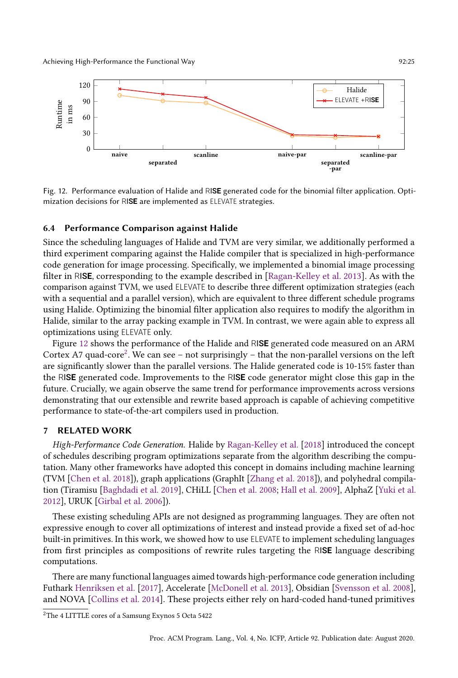<span id="page-25-1"></span>

Fig. 12. Performance evaluation of Halide and RIS**E** generated code for the binomial filter application. Optimization decisions for RIS**E** are implemented as ELEVATE strategies.

# 6.4 Performance Comparison against Halide

Since the scheduling languages of Halide and TVM are very similar, we additionally performed a third experiment comparing against the Halide compiler that is specialized in high-performance code generation for image processing. Specifically, we implemented a binomial image processing filter in RIS**E**, corresponding to the example described in [\[Ragan-Kelley et al.](#page-28-3) [2013\]](#page-28-3). As with the comparison against TVM, we used ELEVATE to describe three different optimization strategies (each with a sequential and a parallel version), which are equivalent to three different schedule programs using Halide. Optimizing the binomial filter application also requires to modify the algorithm in Halide, similar to the array packing example in TVM. In contrast, we were again able to express all optimizations using ELEVATE only.

Figure [12](#page-25-1) shows the performance of the Halide and RIS**E** generated code measured on an ARM Cortex A7 quad-core<sup>[2](#page-25-2)</sup>. We can see – not surprisingly – that the non-parallel versions on the left are significantly slower than the parallel versions. The Halide generated code is 10-15% faster than the RIS**E** generated code. Improvements to the RIS**E** code generator might close this gap in the future. Crucially, we again observe the same trend for performance improvements across versions demonstrating that our extensible and rewrite based approach is capable of achieving competitive performance to state-of-the-art compilers used in production.

# <span id="page-25-0"></span>7 RELATED WORK

High-Performance Code Generation. Halide by [Ragan-Kelley et al.](#page-28-2) [\[2018\]](#page-28-2) introduced the concept of schedules describing program optimizations separate from the algorithm describing the computation. Many other frameworks have adopted this concept in domains including machine learning (TVM [\[Chen et al.](#page-27-2) [2018\]](#page-27-2)), graph applications (GraphIt [\[Zhang et al.](#page-29-5) [2018\]](#page-29-5)), and polyhedral compilation (Tiramisu [\[Baghdadi et al.](#page-27-6) [2019\]](#page-27-6), CHiLL [\[Chen et al.](#page-27-7) [2008;](#page-27-7) [Hall et al.](#page-28-15) [2009\]](#page-28-15), AlphaZ [\[Yuki et al.](#page-29-6) [2012\]](#page-29-6), URUK [\[Girbal et al. 2006\]](#page-28-16)).

These existing scheduling APIs are not designed as programming languages. They are often not expressive enough to cover all optimizations of interest and instead provide a fixed set of ad-hoc built-in primitives. In this work, we showed how to use ELEVATE to implement scheduling languages from first principles as compositions of rewrite rules targeting the RIS**E** language describing computations.

There are many functional languages aimed towards high-performance code generation including Futhark [Henriksen et al.](#page-28-9) [\[2017\]](#page-28-9), Accelerate [\[McDonell et al.](#page-28-17) [2013\]](#page-28-17), Obsidian [\[Svensson et al.](#page-28-18) [2008\]](#page-28-18), and NOVA [\[Collins et al.](#page-27-8) [2014\]](#page-27-8). These projects either rely on hard-coded hand-tuned primitives

<span id="page-25-2"></span><sup>2</sup>The 4 LITTLE cores of a Samsung Exynos 5 Octa 5422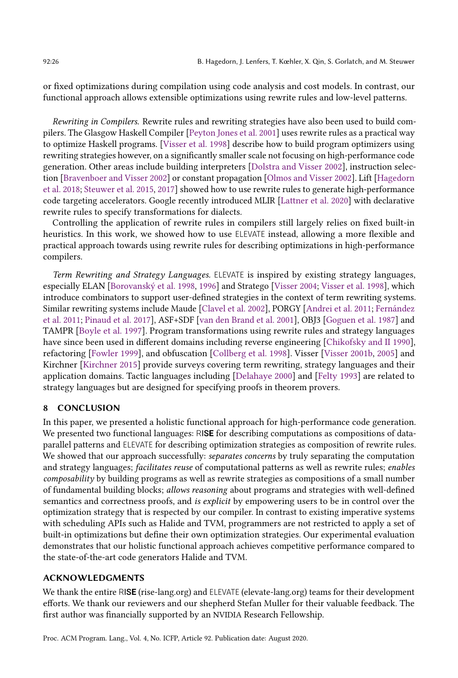or fixed optimizations during compilation using code analysis and cost models. In contrast, our functional approach allows extensible optimizations using rewrite rules and low-level patterns.

Rewriting in Compilers. Rewrite rules and rewriting strategies have also been used to build compilers. The Glasgow Haskell Compiler [\[Peyton Jones et al.](#page-28-4) [2001\]](#page-28-4) uses rewrite rules as a practical way to optimize Haskell programs. [\[Visser et al.](#page-29-2) [1998\]](#page-29-2) describe how to build program optimizers using rewriting strategies however, on a significantly smaller scale not focusing on high-performance code generation. Other areas include building interpreters [\[Dolstra and Visser 2002\]](#page-27-9), instruction selection [\[Bravenboer and Visser 2002\]](#page-27-10) or constant propagation [\[Olmos and Visser 2002\]](#page-28-19). Lift [\[Hagedorn](#page-28-6) [et al.](#page-28-6) [2018;](#page-28-6) [Steuwer et al.](#page-28-5) [2015,](#page-28-5) [2017\]](#page-28-8) showed how to use rewrite rules to generate high-performance code targeting accelerators. Google recently introduced MLIR [\[Lattner et al.](#page-28-20) [2020\]](#page-28-20) with declarative rewrite rules to specify transformations for dialects.

Controlling the application of rewrite rules in compilers still largely relies on fixed built-in heuristics. In this work, we showed how to use ELEVATE instead, allowing a more flexible and practical approach towards using rewrite rules for describing optimizations in high-performance compilers.

Term Rewriting and Strategy Languages. ELEVATE is inspired by existing strategy languages, especially ELAN [\[Borovanský et al.](#page-27-11) [1998,](#page-27-11) [1996\]](#page-27-12) and Stratego [\[Visser 2004;](#page-29-4) [Visser et al.](#page-29-2) [1998\]](#page-29-2), which introduce combinators to support user-defined strategies in the context of term rewriting systems. Similar rewriting systems include Maude [\[Clavel et al.](#page-27-13) [2002\]](#page-27-13), PORGY [\[Andrei et al.](#page-27-14) [2011;](#page-27-14) [Fernández](#page-27-15) [et al.](#page-27-15) [2011;](#page-27-15) [Pinaud et al.](#page-28-21) [2017\]](#page-28-21), ASF+SDF [\[van den Brand et al.](#page-29-7) [2001\]](#page-29-7), OBJ3 [\[Goguen et al.](#page-28-22) [1987\]](#page-28-22) and TAMPR [\[Boyle et al.](#page-27-16) [1997\]](#page-27-16). Program transformations using rewrite rules and strategy languages have since been used in different domains including reverse engineering [\[Chikofsky and II 1990\]](#page-27-17), refactoring [\[Fowler 1999\]](#page-28-23), and obfuscation [\[Collberg et al.](#page-27-18) [1998\]](#page-27-18). Visser [\[Visser 2001b,](#page-29-8) [2005\]](#page-29-9) and Kirchner [\[Kirchner 2015\]](#page-28-10) provide surveys covering term rewriting, strategy languages and their application domains. Tactic languages including [\[Delahaye 2000\]](#page-27-19) and [\[Felty 1993\]](#page-27-20) are related to strategy languages but are designed for specifying proofs in theorem provers.

# <span id="page-26-0"></span>8 CONCLUSION

In this paper, we presented a holistic functional approach for high-performance code generation. We presented two functional languages: RIS**E** for describing computations as compositions of dataparallel patterns and ELEVATE for describing optimization strategies as composition of rewrite rules. We showed that our approach successfully: separates concerns by truly separating the computation and strategy languages; facilitates reuse of computational patterns as well as rewrite rules; enables composability by building programs as well as rewrite strategies as compositions of a small number of fundamental building blocks; allows reasoning about programs and strategies with well-defined semantics and correctness proofs, and is explicit by empowering users to be in control over the optimization strategy that is respected by our compiler. In contrast to existing imperative systems with scheduling APIs such as Halide and TVM, programmers are not restricted to apply a set of built-in optimizations but define their own optimization strategies. Our experimental evaluation demonstrates that our holistic functional approach achieves competitive performance compared to the state-of-the-art code generators Halide and TVM.

# ACKNOWLEDGMENTS

We thank the entire RIS**E** (rise-lang.org) and ELEVATE (elevate-lang.org) teams for their development efforts. We thank our reviewers and our shepherd Stefan Muller for their valuable feedback. The first author was financially supported by an NVIDIA Research Fellowship.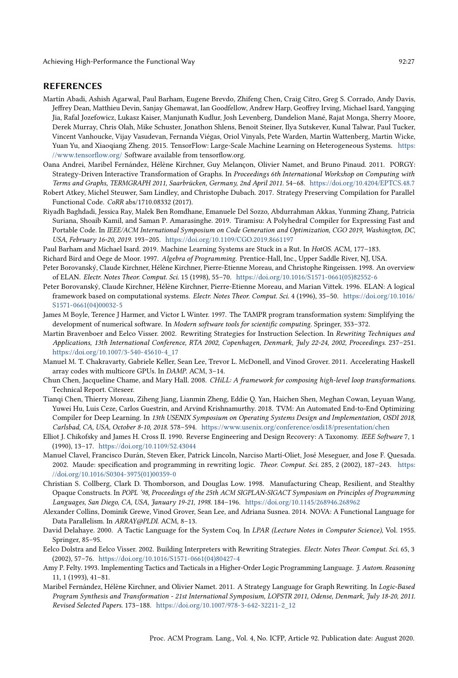#### REFERENCES

- <span id="page-27-0"></span>Martín Abadi, Ashish Agarwal, Paul Barham, Eugene Brevdo, Zhifeng Chen, Craig Citro, Greg S. Corrado, Andy Davis, Jeffrey Dean, Matthieu Devin, Sanjay Ghemawat, Ian Goodfellow, Andrew Harp, Geoffrey Irving, Michael Isard, Yangqing Jia, Rafal Jozefowicz, Lukasz Kaiser, Manjunath Kudlur, Josh Levenberg, Dandelion Mané, Rajat Monga, Sherry Moore, Derek Murray, Chris Olah, Mike Schuster, Jonathon Shlens, Benoit Steiner, Ilya Sutskever, Kunal Talwar, Paul Tucker, Vincent Vanhoucke, Vijay Vasudevan, Fernanda Viégas, Oriol Vinyals, Pete Warden, Martin Wattenberg, Martin Wicke, Yuan Yu, and Xiaoqiang Zheng. 2015. TensorFlow: Large-Scale Machine Learning on Heterogeneous Systems. [https:](https://www.tensorflow.org/) [//www.tensorflow.org/](https://www.tensorflow.org/) Software available from tensorflow.org.
- <span id="page-27-14"></span>Oana Andrei, Maribel Fernández, Hélène Kirchner, Guy Melançon, Olivier Namet, and Bruno Pinaud. 2011. PORGY: Strategy-Driven Interactive Transformation of Graphs. In Proceedings 6th International Workshop on Computing with Terms and Graphs, TERMGRAPH 2011, Saarbrücken, Germany, 2nd April 2011. 54-68. <https://doi.org/10.4204/EPTCS.48.7>
- <span id="page-27-5"></span>Robert Atkey, Michel Steuwer, Sam Lindley, and Christophe Dubach. 2017. Strategy Preserving Compilation for Parallel Functional Code. CoRR abs/1710.08332 (2017).
- <span id="page-27-6"></span>Riyadh Baghdadi, Jessica Ray, Malek Ben Romdhane, Emanuele Del Sozzo, Abdurrahman Akkas, Yunming Zhang, Patricia Suriana, Shoaib Kamil, and Saman P. Amarasinghe. 2019. Tiramisu: A Polyhedral Compiler for Expressing Fast and Portable Code. In IEEE/ACM International Symposium on Code Generation and Optimization, CGO 2019, Washington, DC, USA, February 16-20, 2019. 193-205. <https://doi.org/10.1109/CGO.2019.8661197>
- <span id="page-27-1"></span>Paul Barham and Michael Isard. 2019. Machine Learning Systems are Stuck in a Rut. In HotOS. ACM, 177-183.
- <span id="page-27-3"></span>Richard Bird and Oege de Moor. 1997. Algebra of Programming. Prentice-Hall, Inc., Upper Saddle River, NJ, USA.
- <span id="page-27-11"></span>Peter Borovanský, Claude Kirchner, Hélène Kirchner, Pierre-Etienne Moreau, and Christophe Ringeissen. 1998. An overview of ELAN. Electr. Notes Theor. Comput. Sci. 15 (1998), 55-70. [https://doi.org/10.1016/S1571-0661\(05\)82552-6](https://doi.org/10.1016/S1571-0661(05)82552-6)
- <span id="page-27-12"></span>Peter Borovanský, Claude Kirchner, Hélène Kirchner, Pierre-Etienne Moreau, and Marian Vittek. 1996. ELAN: A logical framework based on computational systems. Electr. Notes Theor. Comput. Sci. 4 (1996), 35-50. [https://doi.org/10.1016/](https://doi.org/10.1016/S1571-0661(04)00032-5) [S1571-0661\(04\)00032-5](https://doi.org/10.1016/S1571-0661(04)00032-5)
- <span id="page-27-16"></span>James M Boyle, Terence J Harmer, and Victor L Winter. 1997. The TAMPR program transformation system: Simplifying the development of numerical software. In Modern software tools for scientific computing. Springer, 353-372.
- <span id="page-27-10"></span>Martin Bravenboer and Eelco Visser. 2002. Rewriting Strategies for Instruction Selection. In Rewriting Techniques and Applications, 13th International Conference, RTA 2002, Copenhagen, Denmark, July 22-24, 2002, Proceedings. 237-251. [https://doi.org/10.1007/3-540-45610-4\\_17](https://doi.org/10.1007/3-540-45610-4_17)
- <span id="page-27-4"></span>Manuel M. T. Chakravarty, Gabriele Keller, Sean Lee, Trevor L. McDonell, and Vinod Grover. 2011. Accelerating Haskell array codes with multicore GPUs. In DAMP. ACM, 3-14.
- <span id="page-27-7"></span>Chun Chen, Jacqueline Chame, and Mary Hall. 2008. CHiLL: A framework for composing high-level loop transformations. Technical Report. Citeseer.
- <span id="page-27-2"></span>Tianqi Chen, Thierry Moreau, Ziheng Jiang, Lianmin Zheng, Eddie Q. Yan, Haichen Shen, Meghan Cowan, Leyuan Wang, Yuwei Hu, Luis Ceze, Carlos Guestrin, and Arvind Krishnamurthy. 2018. TVM: An Automated End-to-End Optimizing Compiler for Deep Learning. In 13th USENIX Symposium on Operating Systems Design and Implementation, OSDI 2018, Carlsbad, CA, USA, October 8-10, 2018. 578-594. <https://www.usenix.org/conference/osdi18/presentation/chen>
- <span id="page-27-17"></span>Elliot J. Chikofsky and James H. Cross II. 1990. Reverse Engineering and Design Recovery: A Taxonomy. IEEE Software 7, 1 (1990), 13-17. <https://doi.org/10.1109/52.43044>
- <span id="page-27-13"></span>Manuel Clavel, Francisco Durán, Steven Eker, Patrick Lincoln, Narciso Martí-Oliet, José Meseguer, and Jose F. Quesada. 2002. Maude: specification and programming in rewriting logic. Theor. Comput. Sci. 285, 2 (2002), 187-243. [https:](https://doi.org/10.1016/S0304-3975(01)00359-0) [//doi.org/10.1016/S0304-3975\(01\)00359-0](https://doi.org/10.1016/S0304-3975(01)00359-0)
- <span id="page-27-18"></span>Christian S. Collberg, Clark D. Thomborson, and Douglas Low. 1998. Manufacturing Cheap, Resilient, and Stealthy Opaque Constructs. In POPL '98, Proceedings of the 25th ACM SIGPLAN-SIGACT Symposium on Principles of Programming Languages, San Diego, CA, USA, January 19-21, 1998. 184-196. <https://doi.org/10.1145/268946.268962>
- <span id="page-27-8"></span>Alexander Collins, Dominik Grewe, Vinod Grover, Sean Lee, and Adriana Susnea. 2014. NOVA: A Functional Language for Data Parallelism. In ARRAY@PLDI. ACM, 8-13.
- <span id="page-27-19"></span>David Delahaye. 2000. A Tactic Language for the System Coq. In LPAR (Lecture Notes in Computer Science), Vol. 1955. Springer, 85-95.
- <span id="page-27-9"></span>Eelco Dolstra and Eelco Visser. 2002. Building Interpreters with Rewriting Strategies. Electr. Notes Theor. Comput. Sci. 65, 3 (2002), 57-76. [https://doi.org/10.1016/S1571-0661\(04\)80427-4](https://doi.org/10.1016/S1571-0661(04)80427-4)
- <span id="page-27-20"></span>Amy P. Felty. 1993. Implementing Tactics and Tacticals in a Higher-Order Logic Programming Language. J. Autom. Reasoning 11, 1 (1993), 41-81.
- <span id="page-27-15"></span>Maribel Fernández, Hélène Kirchner, and Olivier Namet. 2011. A Strategy Language for Graph Rewriting. In Logic-Based Program Synthesis and Transformation - 21st International Symposium, LOPSTR 2011, Odense, Denmark, July 18-20, 2011. Revised Selected Papers. 173-188. [https://doi.org/10.1007/978-3-642-32211-2\\_12](https://doi.org/10.1007/978-3-642-32211-2_12)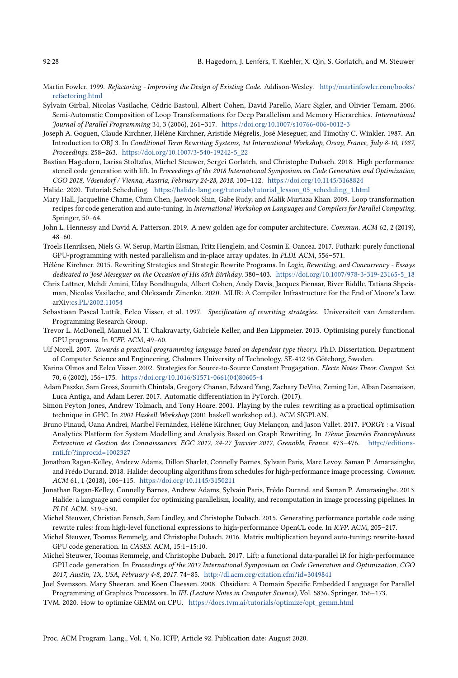- <span id="page-28-23"></span>Martin Fowler. 1999. Refactoring - Improving the Design of Existing Code. Addison-Wesley. [http://martinfowler.com/books/](http://martinfowler.com/books/refactoring.html) [refactoring.html](http://martinfowler.com/books/refactoring.html)
- <span id="page-28-16"></span>Sylvain Girbal, Nicolas Vasilache, Cédric Bastoul, Albert Cohen, David Parello, Marc Sigler, and Olivier Temam. 2006. Semi-Automatic Composition of Loop Transformations for Deep Parallelism and Memory Hierarchies. International Journal of Parallel Programming 34, 3 (2006), 261-317. <https://doi.org/10.1007/s10766-006-0012-3>
- <span id="page-28-22"></span>Joseph A. Goguen, Claude Kirchner, Hélène Kirchner, Aristide Mégrelis, José Meseguer, and Timothy C. Winkler. 1987. An Introduction to OBJ 3. In Conditional Term Rewriting Systems, 1st International Workshop, Orsay, France, July 8-10, 1987, Proceedings. 258-263. [https://doi.org/10.1007/3-540-19242-5\\_22](https://doi.org/10.1007/3-540-19242-5_22)
- <span id="page-28-6"></span>Bastian Hagedorn, Larisa Stoltzfus, Michel Steuwer, Sergei Gorlatch, and Christophe Dubach. 2018. High performance stencil code generation with lift. In Proceedings of the 2018 International Symposium on Code Generation and Optimization, CGO 2018, Vösendorf / Vienna, Austria, February 24-28, 2018. 100-112. <https://doi.org/10.1145/3168824>
- <span id="page-28-12"></span>Halide. 2020. Tutorial: Scheduling. [https://halide-lang.org/tutorials/tutorial\\_lesson\\_05\\_scheduling\\_1.html](https://halide-lang.org/tutorials/tutorial_lesson_05_scheduling_1.html)
- <span id="page-28-15"></span>Mary Hall, Jacqueline Chame, Chun Chen, Jaewook Shin, Gabe Rudy, and Malik Murtaza Khan. 2009. Loop transformation recipes for code generation and auto-tuning. In International Workshop on Languages and Compilers for Parallel Computing. Springer, 50-64.
- <span id="page-28-0"></span>John L. Hennessy and David A. Patterson. 2019. A new golden age for computer architecture. Commun. ACM 62, 2 (2019),  $48 - 60.$
- <span id="page-28-9"></span>Troels Henriksen, Niels G. W. Serup, Martin Elsman, Fritz Henglein, and Cosmin E. Oancea. 2017. Futhark: purely functional GPU-programming with nested parallelism and in-place array updates. In PLDI. ACM, 556-571.
- <span id="page-28-10"></span>Hélène Kirchner. 2015. Rewriting Strategies and Strategic Rewrite Programs. In Logic, Rewriting, and Concurrency - Essays dedicated to José Meseguer on the Occasion of His 65th Birthday. 380-403. [https://doi.org/10.1007/978-3-319-23165-5\\_18](https://doi.org/10.1007/978-3-319-23165-5_18)
- <span id="page-28-20"></span>Chris Lattner, Mehdi Amini, Uday Bondhugula, Albert Cohen, Andy Davis, Jacques Pienaar, River Riddle, Tatiana Shpeisman, Nicolas Vasilache, and Oleksandr Zinenko. 2020. MLIR: A Compiler Infrastructure for the End of Moore's Law. arXiv[:cs.PL/2002.11054](https://arxiv.org/abs/cs.PL/2002.11054)
- <span id="page-28-14"></span>Sebastiaan Pascal Luttik, Eelco Visser, et al. 1997. Specification of rewriting strategies. Universiteit van Amsterdam. Programming Research Group.
- <span id="page-28-17"></span>Trevor L. McDonell, Manuel M. T. Chakravarty, Gabriele Keller, and Ben Lippmeier. 2013. Optimising purely functional GPU programs. In ICFP. ACM, 49-60.
- <span id="page-28-13"></span>Ulf Norell. 2007. Towards a practical programming language based on dependent type theory. Ph.D. Dissertation. Department of Computer Science and Engineering, Chalmers University of Technology, SE-412 96 Göteborg, Sweden.
- <span id="page-28-19"></span>Karina Olmos and Eelco Visser. 2002. Strategies for Source-to-Source Constant Progagation. Electr. Notes Theor. Comput. Sci. 70, 6 (2002), 156-175. [https://doi.org/10.1016/S1571-0661\(04\)80605-4](https://doi.org/10.1016/S1571-0661(04)80605-4)
- <span id="page-28-1"></span>Adam Paszke, Sam Gross, Soumith Chintala, Gregory Chanan, Edward Yang, Zachary DeVito, Zeming Lin, Alban Desmaison, Luca Antiga, and Adam Lerer. 2017. Automatic differentiation in PyTorch. (2017).
- <span id="page-28-4"></span>Simon Peyton Jones, Andrew Tolmach, and Tony Hoare. 2001. Playing by the rules: rewriting as a practical optimisation technique in GHC. In 2001 Haskell Workshop (2001 haskell workshop ed.). ACM SIGPLAN.
- <span id="page-28-21"></span>Bruno Pinaud, Oana Andrei, Maribel Fernández, Hélène Kirchner, Guy Melançon, and Jason Vallet. 2017. PORGY : a Visual Analytics Platform for System Modelling and Analysis Based on Graph Rewriting. In 17ème Journées Francophones Extraction et Gestion des Connaissances, EGC 2017, 24-27 Janvier 2017, Grenoble, France. 473-476. [http://editions](http://editions-rnti.fr/?inprocid=1002327)[rnti.fr/?inprocid=1002327](http://editions-rnti.fr/?inprocid=1002327)
- <span id="page-28-2"></span>Jonathan Ragan-Kelley, Andrew Adams, Dillon Sharlet, Connelly Barnes, Sylvain Paris, Marc Levoy, Saman P. Amarasinghe, and Frédo Durand. 2018. Halide: decoupling algorithms from schedules for high-performance image processing. Commun. ACM 61, 1 (2018), 106-115. <https://doi.org/10.1145/3150211>
- <span id="page-28-3"></span>Jonathan Ragan-Kelley, Connelly Barnes, Andrew Adams, Sylvain Paris, Frédo Durand, and Saman P. Amarasinghe. 2013. Halide: a language and compiler for optimizing parallelism, locality, and recomputation in image processing pipelines. In PLDI. ACM, 519-530.
- <span id="page-28-5"></span>Michel Steuwer, Christian Fensch, Sam Lindley, and Christophe Dubach. 2015. Generating performance portable code using rewrite rules: from high-level functional expressions to high-performance OpenCL code. In ICFP. ACM, 205-217.
- <span id="page-28-7"></span>Michel Steuwer, Toomas Remmelg, and Christophe Dubach. 2016. Matrix multiplication beyond auto-tuning: rewrite-based GPU code generation. In CASES. ACM, 15:1-15:10.
- <span id="page-28-8"></span>Michel Steuwer, Toomas Remmelg, and Christophe Dubach. 2017. Lift: a functional data-parallel IR for high-performance GPU code generation. In Proceedings of the 2017 International Symposium on Code Generation and Optimization, CGO 2017, Austin, TX, USA, February 4-8, 2017. 74-85. <http://dl.acm.org/citation.cfm?id=3049841>
- <span id="page-28-18"></span>Joel Svensson, Mary Sheeran, and Koen Claessen. 2008. Obsidian: A Domain Specific Embedded Language for Parallel Programming of Graphics Processors. In IFL (Lecture Notes in Computer Science), Vol. 5836. Springer, 156-173.
- <span id="page-28-11"></span>TVM. 2020. How to optimize GEMM on CPU. [https://docs.tvm.ai/tutorials/optimize/opt\\_gemm.html](https://docs.tvm.ai/tutorials/optimize/opt_gemm.html)